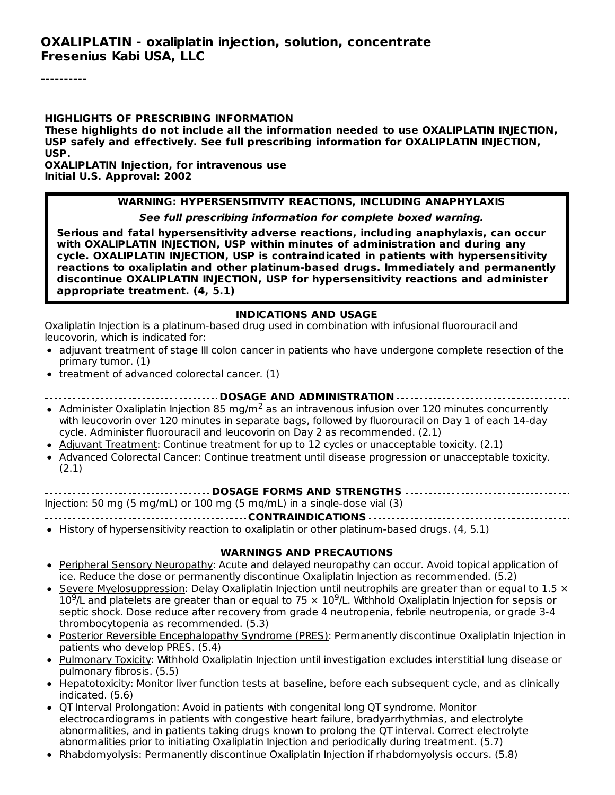#### **HIGHLIGHTS OF PRESCRIBING INFORMATION**

**These highlights do not include all the information needed to use OXALIPLATIN INJECTION, USP safely and effectively. See full prescribing information for OXALIPLATIN INJECTION, USP.**

**OXALIPLATIN Injection, for intravenous use Initial U.S. Approval: 2002**

#### **WARNING: HYPERSENSITIVITY REACTIONS, INCLUDING ANAPHYLAXIS**

**See full prescribing information for complete boxed warning.**

**Serious and fatal hypersensitivity adverse reactions, including anaphylaxis, can occur with OXALIPLATIN INJECTION, USP within minutes of administration and during any cycle. OXALIPLATIN INJECTION, USP is contraindicated in patients with hypersensitivity reactions to oxaliplatin and other platinum-based drugs. Immediately and permanently discontinue OXALIPLATIN INJECTION, USP for hypersensitivity reactions and administer appropriate treatment. (4, 5.1)**

#### **INDICATIONS AND USAGE** Oxaliplatin Injection is a platinum-based drug used in combination with infusional fluorouracil and leucovorin, which is indicated for:

- adjuvant treatment of stage III colon cancer in patients who have undergone complete resection of the primary tumor. (1)
- treatment of advanced colorectal cancer. (1)

**DOSAGE AND ADMINISTRATION**

- Administer Oxaliplatin Injection 85 mg/m<sup>2</sup> as an intravenous infusion over 120 minutes concurrently with leucovorin over 120 minutes in separate bags, followed by fluorouracil on Day 1 of each 14-day cycle. Administer fluorouracil and leucovorin on Day 2 as recommended. (2.1)
- Adjuvant Treatment: Continue treatment for up to 12 cycles or unacceptable toxicity. (2.1)
- Advanced Colorectal Cancer: Continue treatment until disease progression or unacceptable toxicity. (2.1)

#### **DOSAGE FORMS AND STRENGTHS**

Injection: 50 mg (5 mg/mL) or 100 mg (5 mg/mL) in a single-dose vial (3)

**CONTRAINDICATIONS**

• History of hypersensitivity reaction to oxaliplatin or other platinum-based drugs. (4, 5.1)

#### **WARNINGS AND PRECAUTIONS**

- Peripheral Sensory Neuropathy: Acute and delayed neuropathy can occur. Avoid topical application of ice. Reduce the dose or permanently discontinue Oxaliplatin Injection as recommended. (5.2)
- Severe Myelosuppression: Delay Oxaliplatin Injection until neutrophils are greater than or equal to  $1.5 \times$  $\bullet$  $10^9$ /L and platelets are greater than or equal to 75  $\times$  10<sup>9</sup>/L. Withhold Oxaliplatin Injection for sepsis or septic shock. Dose reduce after recovery from grade 4 neutropenia, febrile neutropenia, or grade 3-4 thrombocytopenia as recommended. (5.3)
- Posterior Reversible Encephalopathy Syndrome (PRES): Permanently discontinue Oxaliplatin Injection in patients who develop PRES. (5.4)
- Pulmonary Toxicity: Withhold Oxaliplatin Injection until investigation excludes interstitial lung disease or pulmonary fibrosis. (5.5)
- $\bullet$ Hepatotoxicity: Monitor liver function tests at baseline, before each subsequent cycle, and as clinically indicated. (5.6)
- QT Interval Prolongation: Avoid in patients with congenital long QT syndrome. Monitor electrocardiograms in patients with congestive heart failure, bradyarrhythmias, and electrolyte abnormalities, and in patients taking drugs known to prolong the QT interval. Correct electrolyte abnormalities prior to initiating Oxaliplatin Injection and periodically during treatment. (5.7)
- Rhabdomyolysis: Permanently discontinue Oxaliplatin Injection if rhabdomyolysis occurs. (5.8)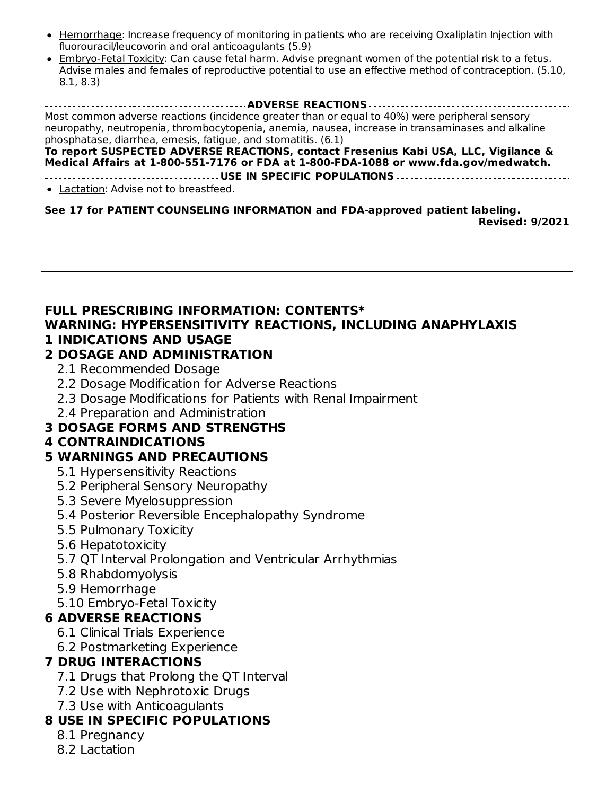- Hemorrhage: Increase frequency of monitoring in patients who are receiving Oxaliplatin Injection with fluorouracil/leucovorin and oral anticoagulants (5.9)
- Embryo-Fetal Toxicity: Can cause fetal harm. Advise pregnant women of the potential risk to a fetus. Advise males and females of reproductive potential to use an effective method of contraception. (5.10, 8.1, 8.3)

**ADVERSE REACTIONS** Most common adverse reactions (incidence greater than or equal to 40%) were peripheral sensory neuropathy, neutropenia, thrombocytopenia, anemia, nausea, increase in transaminases and alkaline phosphatase, diarrhea, emesis, fatigue, and stomatitis. (6.1)

**To report SUSPECTED ADVERSE REACTIONS, contact Fresenius Kabi USA, LLC, Vigilance & Medical Affairs at 1-800-551-7176 or FDA at 1-800-FDA-1088 or www.fda.gov/medwatch. USE IN SPECIFIC POPULATIONS**

• Lactation: Advise not to breastfeed.

#### **See 17 for PATIENT COUNSELING INFORMATION and FDA-approved patient labeling.**

**Revised: 9/2021**

#### **FULL PRESCRIBING INFORMATION: CONTENTS\* WARNING: HYPERSENSITIVITY REACTIONS, INCLUDING ANAPHYLAXIS 1 INDICATIONS AND USAGE**

#### **2 DOSAGE AND ADMINISTRATION**

- 2.1 Recommended Dosage
- 2.2 Dosage Modification for Adverse Reactions
- 2.3 Dosage Modifications for Patients with Renal Impairment
- 2.4 Preparation and Administration

## **3 DOSAGE FORMS AND STRENGTHS**

## **4 CONTRAINDICATIONS**

### **5 WARNINGS AND PRECAUTIONS**

- 5.1 Hypersensitivity Reactions
- 5.2 Peripheral Sensory Neuropathy
- 5.3 Severe Myelosuppression
- 5.4 Posterior Reversible Encephalopathy Syndrome
- 5.5 Pulmonary Toxicity
- 5.6 Hepatotoxicity
- 5.7 QT Interval Prolongation and Ventricular Arrhythmias
- 5.8 Rhabdomyolysis
- 5.9 Hemorrhage
- 5.10 Embryo-Fetal Toxicity

### **6 ADVERSE REACTIONS**

- 6.1 Clinical Trials Experience
- 6.2 Postmarketing Experience

### **7 DRUG INTERACTIONS**

- 7.1 Drugs that Prolong the QT Interval
- 7.2 Use with Nephrotoxic Drugs
- 7.3 Use with Anticoagulants

## **8 USE IN SPECIFIC POPULATIONS**

- 8.1 Pregnancy
- 8.2 Lactation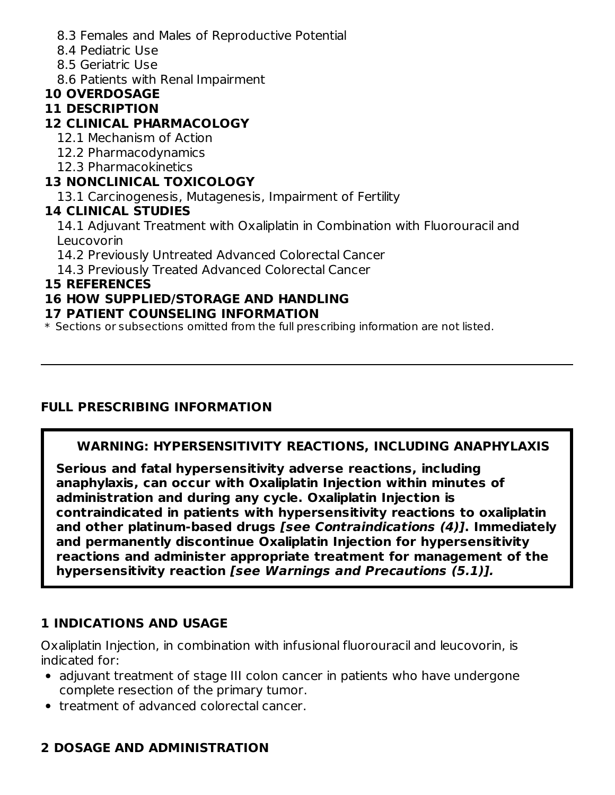- 8.3 Females and Males of Reproductive Potential
- 8.4 Pediatric Use
- 8.5 Geriatric Use
- 8.6 Patients with Renal Impairment

## **10 OVERDOSAGE**

## **11 DESCRIPTION**

## **12 CLINICAL PHARMACOLOGY**

- 12.1 Mechanism of Action
- 12.2 Pharmacodynamics
- 12.3 Pharmacokinetics

## **13 NONCLINICAL TOXICOLOGY**

13.1 Carcinogenesis, Mutagenesis, Impairment of Fertility

### **14 CLINICAL STUDIES**

14.1 Adjuvant Treatment with Oxaliplatin in Combination with Fluorouracil and Leucovorin

14.2 Previously Untreated Advanced Colorectal Cancer

14.3 Previously Treated Advanced Colorectal Cancer

### **15 REFERENCES**

### **16 HOW SUPPLIED/STORAGE AND HANDLING**

#### **17 PATIENT COUNSELING INFORMATION**

\* Sections or subsections omitted from the full prescribing information are not listed.

## **FULL PRESCRIBING INFORMATION**

## **WARNING: HYPERSENSITIVITY REACTIONS, INCLUDING ANAPHYLAXIS**

**Serious and fatal hypersensitivity adverse reactions, including anaphylaxis, can occur with Oxaliplatin Injection within minutes of administration and during any cycle. Oxaliplatin Injection is contraindicated in patients with hypersensitivity reactions to oxaliplatin and other platinum-based drugs [see Contraindications (4)]. Immediately and permanently discontinue Oxaliplatin Injection for hypersensitivity reactions and administer appropriate treatment for management of the hypersensitivity reaction [see Warnings and Precautions (5.1)].**

### **1 INDICATIONS AND USAGE**

Oxaliplatin Injection, in combination with infusional fluorouracil and leucovorin, is indicated for:

- adjuvant treatment of stage III colon cancer in patients who have undergone complete resection of the primary tumor.
- treatment of advanced colorectal cancer.

## **2 DOSAGE AND ADMINISTRATION**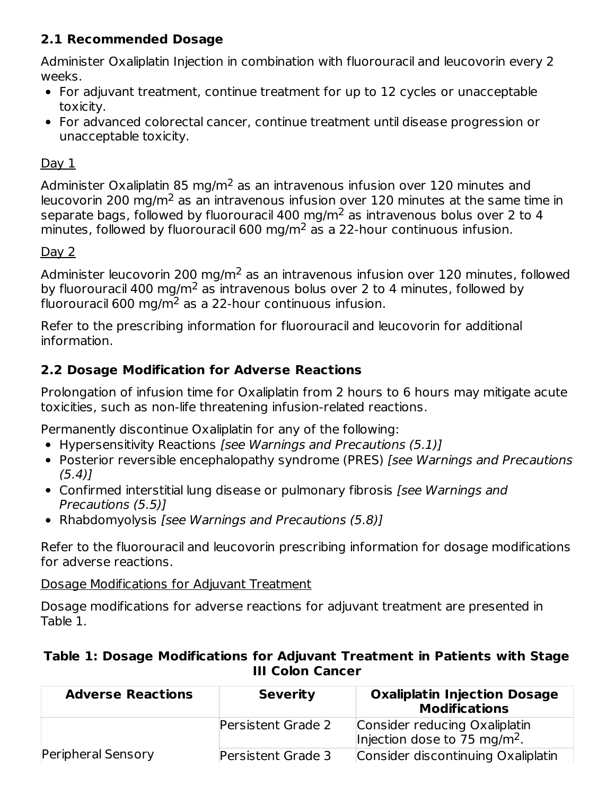## **2.1 Recommended Dosage**

Administer Oxaliplatin Injection in combination with fluorouracil and leucovorin every 2 weeks.

- For adjuvant treatment, continue treatment for up to 12 cycles or unacceptable toxicity.
- For advanced colorectal cancer, continue treatment until disease progression or unacceptable toxicity.

## $Day 1$

Administer Oxaliplatin 85 mg/m<sup>2</sup> as an intravenous infusion over 120 minutes and leucovorin 200 mg/m<sup>2</sup> as an intravenous infusion over 120 minutes at the same time in separate bags, followed by fluorouracil 400 mg/m<sup>2</sup> as intravenous bolus over 2 to 4 minutes, followed by fluorouracil 600 mg/m<sup>2</sup> as a 22-hour continuous infusion.

## $Day 2$

Administer leucovorin 200 mg/m $^2$  as an intravenous infusion over 120 minutes, followed by fluorouracil 400 mg/m<sup>2</sup> as intravenous bolus over 2 to 4 minutes, followed by fluorouracil 600 mg/m $^2$  as a 22-hour continuous infusion.

Refer to the prescribing information for fluorouracil and leucovorin for additional information.

## **2.2 Dosage Modification for Adverse Reactions**

Prolongation of infusion time for Oxaliplatin from 2 hours to 6 hours may mitigate acute toxicities, such as non-life threatening infusion-related reactions.

Permanently discontinue Oxaliplatin for any of the following:

- Hypersensitivity Reactions [see Warnings and Precautions (5.1)]
- Posterior reversible encephalopathy syndrome (PRES) *[see Warnings and Precautions*  $(5.4)$ ]
- Confirmed interstitial lung disease or pulmonary fibrosis *[see Warnings and* Precautions (5.5)]
- Rhabdomyolysis [see Warnings and Precautions (5.8)]

Refer to the fluorouracil and leucovorin prescribing information for dosage modifications for adverse reactions.

Dosage Modifications for Adjuvant Treatment

Dosage modifications for adverse reactions for adjuvant treatment are presented in Table 1.

#### **Table 1: Dosage Modifications for Adjuvant Treatment in Patients with Stage III Colon Cancer**

| <b>Adverse Reactions</b> | <b>Severity</b>    | <b>Oxaliplatin Injection Dosage</b><br><b>Modifications</b>               |
|--------------------------|--------------------|---------------------------------------------------------------------------|
|                          | Persistent Grade 2 | Consider reducing Oxaliplatin<br>Injection dose to 75 mg/m <sup>2</sup> . |
| Peripheral Sensory       | Persistent Grade 3 | Consider discontinuing Oxaliplatin                                        |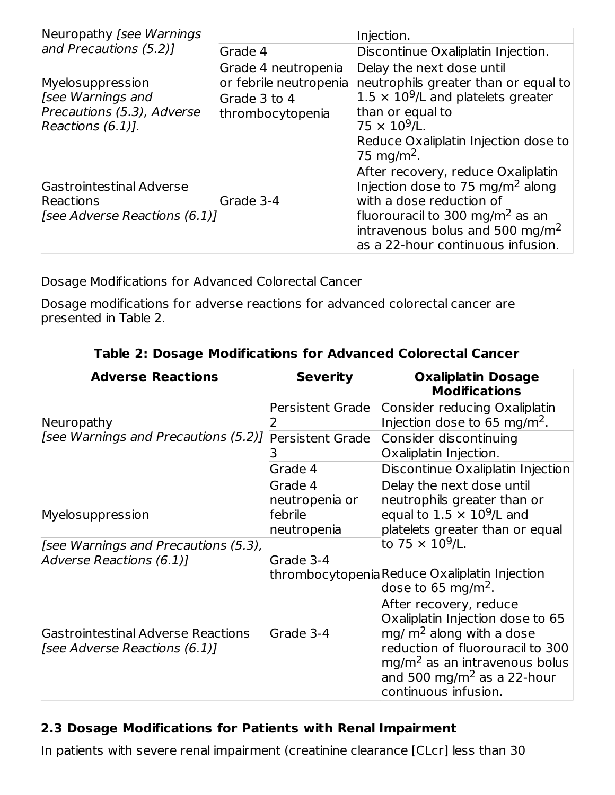| Neuropathy [see Warnings]                                                                   |                                                                                   | Injection.                                                                                                                                                                                                                                        |
|---------------------------------------------------------------------------------------------|-----------------------------------------------------------------------------------|---------------------------------------------------------------------------------------------------------------------------------------------------------------------------------------------------------------------------------------------------|
| and Precautions (5.2)]                                                                      | Grade 4                                                                           | Discontinue Oxaliplatin Injection.                                                                                                                                                                                                                |
| Myelosuppression<br>[see Warnings and<br>Precautions (5.3), Adverse<br>Reactions $(6.1)$ ]. | Grade 4 neutropenia<br>or febrile neutropenia<br>Grade 3 to 4<br>thrombocytopenia | Delay the next dose until<br>neutrophils greater than or equal to<br>$1.5 \times 10^9$ /L and platelets greater<br>than or equal to<br>$75 \times 10^9$ /L.<br>Reduce Oxaliplatin Injection dose to<br>75 mg/m <sup>2</sup> .                     |
| Gastrointestinal Adverse<br>Reactions<br>[see Adverse Reactions $(6.1)$ ]                   | Grade 3-4                                                                         | After recovery, reduce Oxaliplatin<br>Injection dose to 75 mg/m <sup>2</sup> along<br>with a dose reduction of<br>fluorouracil to 300 mg/m <sup>2</sup> as an<br>intravenous bolus and 500 mg/m <sup>2</sup><br>as a 22-hour continuous infusion. |

Dosage Modifications for Advanced Colorectal Cancer

Dosage modifications for adverse reactions for advanced colorectal cancer are presented in Table 2.

| <b>Adverse Reactions</b>                                                   | <b>Severity</b>                                            | <b>Oxaliplatin Dosage</b><br><b>Modifications</b>                                                                                                                                                                                          |
|----------------------------------------------------------------------------|------------------------------------------------------------|--------------------------------------------------------------------------------------------------------------------------------------------------------------------------------------------------------------------------------------------|
| Neuropathy                                                                 | Persistent Grade                                           | Consider reducing Oxaliplatin<br>Injection dose to 65 mg/m <sup>2</sup> .                                                                                                                                                                  |
| [see Warnings and Precautions (5.2)]                                       | Persistent Grade                                           | Consider discontinuing<br>Oxaliplatin Injection.                                                                                                                                                                                           |
|                                                                            | Grade 4                                                    | Discontinue Oxaliplatin Injection                                                                                                                                                                                                          |
| Myelosuppression                                                           | Grade 4<br>neutropenia or<br><b>febrile</b><br>neutropenia | Delay the next dose until<br>neutrophils greater than or<br>equal to $1.5 \times 10^9$ /L and<br>platelets greater than or equal                                                                                                           |
| [see Warnings and Precautions (5.3),<br>Adverse Reactions (6.1)]           | Grade 3-4                                                  | to 75 $\times$ 10 <sup>9</sup> /L.<br>thrombocytopeniaReduce Oxaliplatin Injection<br>dose to 65 mg/m <sup>2</sup> .                                                                                                                       |
| <b>Gastrointestinal Adverse Reactions</b><br>[see Adverse Reactions (6.1)] | Grade 3-4                                                  | After recovery, reduce<br>Oxaliplatin Injection dose to 65<br>$mg/m2$ along with a dose<br>reduction of fluorouracil to 300<br>mg/m <sup>2</sup> as an intravenous bolus<br>and 500 mg/m <sup>2</sup> as a 22-hour<br>continuous infusion. |

## **Table 2: Dosage Modifications for Advanced Colorectal Cancer**

## **2.3 Dosage Modifications for Patients with Renal Impairment**

In patients with severe renal impairment (creatinine clearance [CLcr] less than 30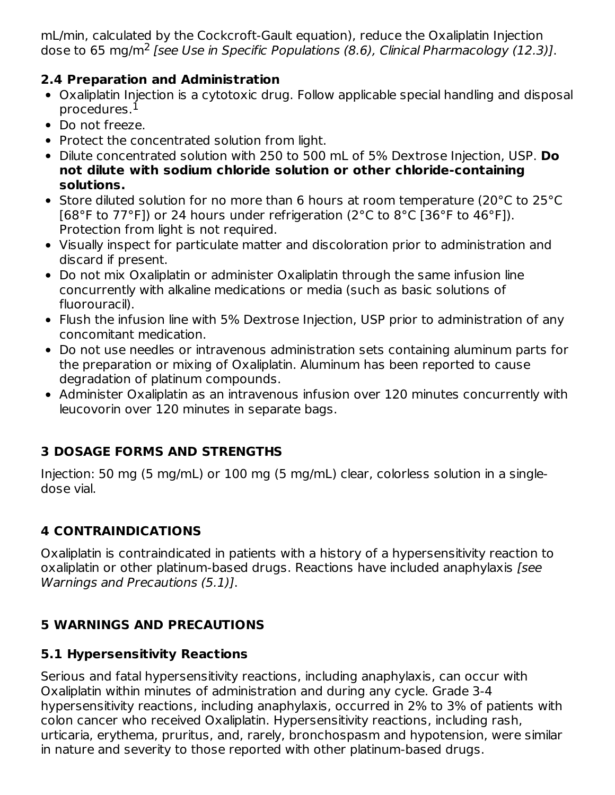mL/min, calculated by the Cockcroft-Gault equation), reduce the Oxaliplatin Injection dose to 65 mg/m<sup>2</sup> [see Use in Specific Populations (8.6), Clinical Pharmacology (12.3)].

#### **2.4 Preparation and Administration**

- Oxaliplatin Injection is a cytotoxic drug. Follow applicable special handling and disposal procedures. 1
- Do not freeze.
- Protect the concentrated solution from light.
- Dilute concentrated solution with 250 to 500 mL of 5% Dextrose Injection, USP. **Do not dilute with sodium chloride solution or other chloride-containing solutions.**
- Store diluted solution for no more than 6 hours at room temperature (20°C to 25°C [68°F to 77°F]) or 24 hours under refrigeration (2°C to 8°C [36°F to 46°F]). Protection from light is not required.
- Visually inspect for particulate matter and discoloration prior to administration and discard if present.
- Do not mix Oxaliplatin or administer Oxaliplatin through the same infusion line concurrently with alkaline medications or media (such as basic solutions of fluorouracil).
- Flush the infusion line with 5% Dextrose Injection, USP prior to administration of any concomitant medication.
- Do not use needles or intravenous administration sets containing aluminum parts for the preparation or mixing of Oxaliplatin. Aluminum has been reported to cause degradation of platinum compounds.
- Administer Oxaliplatin as an intravenous infusion over 120 minutes concurrently with leucovorin over 120 minutes in separate bags.

## **3 DOSAGE FORMS AND STRENGTHS**

Injection: 50 mg (5 mg/mL) or 100 mg (5 mg/mL) clear, colorless solution in a singledose vial.

## **4 CONTRAINDICATIONS**

Oxaliplatin is contraindicated in patients with a history of a hypersensitivity reaction to oxaliplatin or other platinum-based drugs. Reactions have included anaphylaxis [see Warnings and Precautions (5.1)].

## **5 WARNINGS AND PRECAUTIONS**

### **5.1 Hypersensitivity Reactions**

Serious and fatal hypersensitivity reactions, including anaphylaxis, can occur with Oxaliplatin within minutes of administration and during any cycle. Grade 3-4 hypersensitivity reactions, including anaphylaxis, occurred in 2% to 3% of patients with colon cancer who received Oxaliplatin. Hypersensitivity reactions, including rash, urticaria, erythema, pruritus, and, rarely, bronchospasm and hypotension, were similar in nature and severity to those reported with other platinum-based drugs.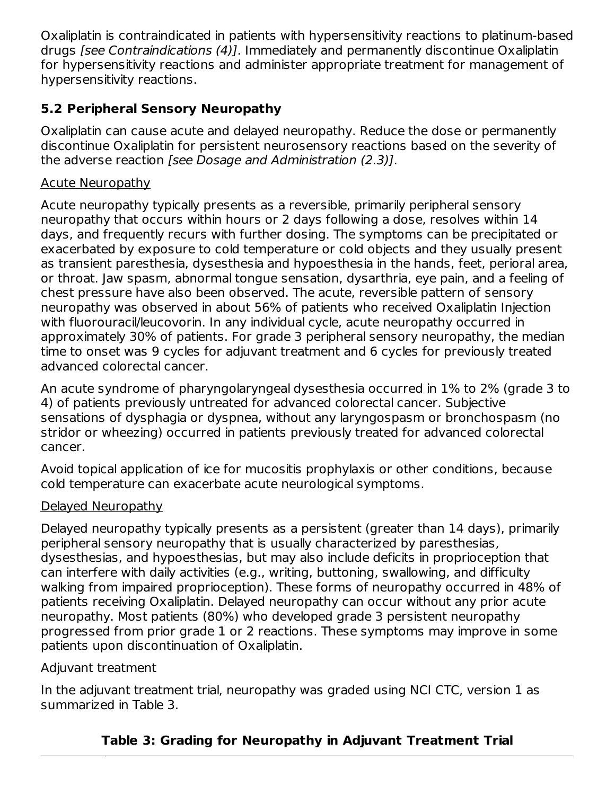Oxaliplatin is contraindicated in patients with hypersensitivity reactions to platinum-based drugs [see Contraindications (4)]. Immediately and permanently discontinue Oxaliplatin for hypersensitivity reactions and administer appropriate treatment for management of hypersensitivity reactions.

## **5.2 Peripheral Sensory Neuropathy**

Oxaliplatin can cause acute and delayed neuropathy. Reduce the dose or permanently discontinue Oxaliplatin for persistent neurosensory reactions based on the severity of the adverse reaction [see Dosage and Administration (2.3)].

### Acute Neuropathy

Acute neuropathy typically presents as a reversible, primarily peripheral sensory neuropathy that occurs within hours or 2 days following a dose, resolves within 14 days, and frequently recurs with further dosing. The symptoms can be precipitated or exacerbated by exposure to cold temperature or cold objects and they usually present as transient paresthesia, dysesthesia and hypoesthesia in the hands, feet, perioral area, or throat. Jaw spasm, abnormal tongue sensation, dysarthria, eye pain, and a feeling of chest pressure have also been observed. The acute, reversible pattern of sensory neuropathy was observed in about 56% of patients who received Oxaliplatin Injection with fluorouracil/leucovorin. In any individual cycle, acute neuropathy occurred in approximately 30% of patients. For grade 3 peripheral sensory neuropathy, the median time to onset was 9 cycles for adjuvant treatment and 6 cycles for previously treated advanced colorectal cancer.

An acute syndrome of pharyngolaryngeal dysesthesia occurred in 1% to 2% (grade 3 to 4) of patients previously untreated for advanced colorectal cancer. Subjective sensations of dysphagia or dyspnea, without any laryngospasm or bronchospasm (no stridor or wheezing) occurred in patients previously treated for advanced colorectal cancer.

Avoid topical application of ice for mucositis prophylaxis or other conditions, because cold temperature can exacerbate acute neurological symptoms.

#### Delayed Neuropathy

Delayed neuropathy typically presents as a persistent (greater than 14 days), primarily peripheral sensory neuropathy that is usually characterized by paresthesias, dysesthesias, and hypoesthesias, but may also include deficits in proprioception that can interfere with daily activities (e.g., writing, buttoning, swallowing, and difficulty walking from impaired proprioception). These forms of neuropathy occurred in 48% of patients receiving Oxaliplatin. Delayed neuropathy can occur without any prior acute neuropathy. Most patients (80%) who developed grade 3 persistent neuropathy progressed from prior grade 1 or 2 reactions. These symptoms may improve in some patients upon discontinuation of Oxaliplatin.

#### Adjuvant treatment

In the adjuvant treatment trial, neuropathy was graded using NCI CTC, version 1 as summarized in Table 3.

## **Table 3: Grading for Neuropathy in Adjuvant Treatment Trial**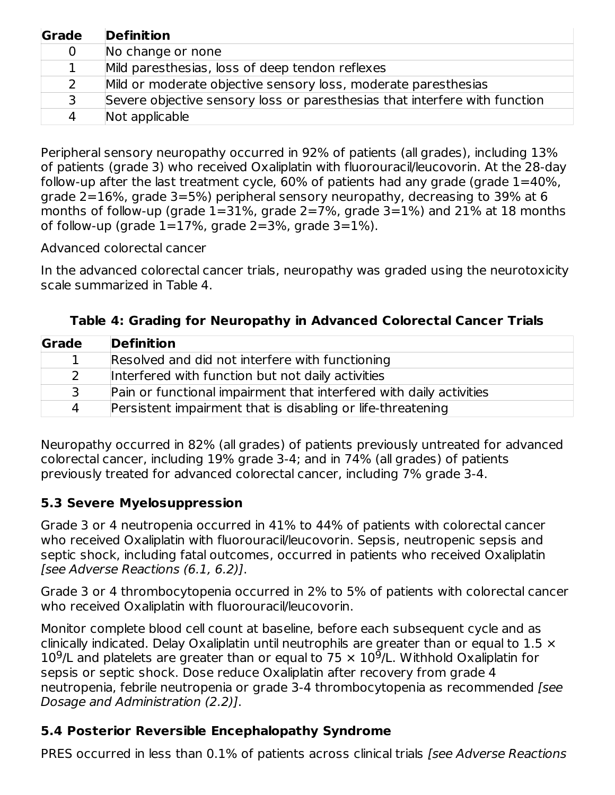| Grade | <b>Definition</b>                                                          |
|-------|----------------------------------------------------------------------------|
| 0     | No change or none                                                          |
| 1     | Mild paresthesias, loss of deep tendon reflexes                            |
| 2     | Mild or moderate objective sensory loss, moderate paresthesias             |
| 3     | Severe objective sensory loss or paresthesias that interfere with function |
| 4     | Not applicable                                                             |

Peripheral sensory neuropathy occurred in 92% of patients (all grades), including 13% of patients (grade 3) who received Oxaliplatin with fluorouracil/leucovorin. At the 28-day follow-up after the last treatment cycle,  $60\%$  of patients had any grade (grade  $1=40\%$ , grade 2=16%, grade 3=5%) peripheral sensory neuropathy, decreasing to 39% at 6 months of follow-up (grade  $1=31\%$ , grade  $2=7\%$ , grade  $3=1\%$ ) and  $21\%$  at 18 months of follow-up (grade  $1=17\%$ , grade  $2=3\%$ , grade  $3=1\%$ ).

Advanced colorectal cancer

In the advanced colorectal cancer trials, neuropathy was graded using the neurotoxicity scale summarized in Table 4.

| Grade | <b>Definition</b>                                                   |
|-------|---------------------------------------------------------------------|
|       | Resolved and did not interfere with functioning                     |
| 2     | Interfered with function but not daily activities                   |
| 3     | Pain or functional impairment that interfered with daily activities |
| 4     | Persistent impairment that is disabling or life-threatening         |

**Table 4: Grading for Neuropathy in Advanced Colorectal Cancer Trials**

Neuropathy occurred in 82% (all grades) of patients previously untreated for advanced colorectal cancer, including 19% grade 3-4; and in 74% (all grades) of patients previously treated for advanced colorectal cancer, including 7% grade 3-4.

## **5.3 Severe Myelosuppression**

Grade 3 or 4 neutropenia occurred in 41% to 44% of patients with colorectal cancer who received Oxaliplatin with fluorouracil/leucovorin. Sepsis, neutropenic sepsis and septic shock, including fatal outcomes, occurred in patients who received Oxaliplatin [see Adverse Reactions (6.1, 6.2)].

Grade 3 or 4 thrombocytopenia occurred in 2% to 5% of patients with colorectal cancer who received Oxaliplatin with fluorouracil/leucovorin.

Monitor complete blood cell count at baseline, before each subsequent cycle and as clinically indicated. Delay Oxaliplatin until neutrophils are greater than or equal to  $1.5 \times$ 10<sup>9</sup>/L and platelets are greater than or equal to 75  $\times$  10<sup>9</sup>/L. Withhold Oxaliplatin for sepsis or septic shock. Dose reduce Oxaliplatin after recovery from grade 4 neutropenia, febrile neutropenia or grade 3-4 thrombocytopenia as recommended [see Dosage and Administration (2.2)].

## **5.4 Posterior Reversible Encephalopathy Syndrome**

PRES occurred in less than 0.1% of patients across clinical trials [see Adverse Reactions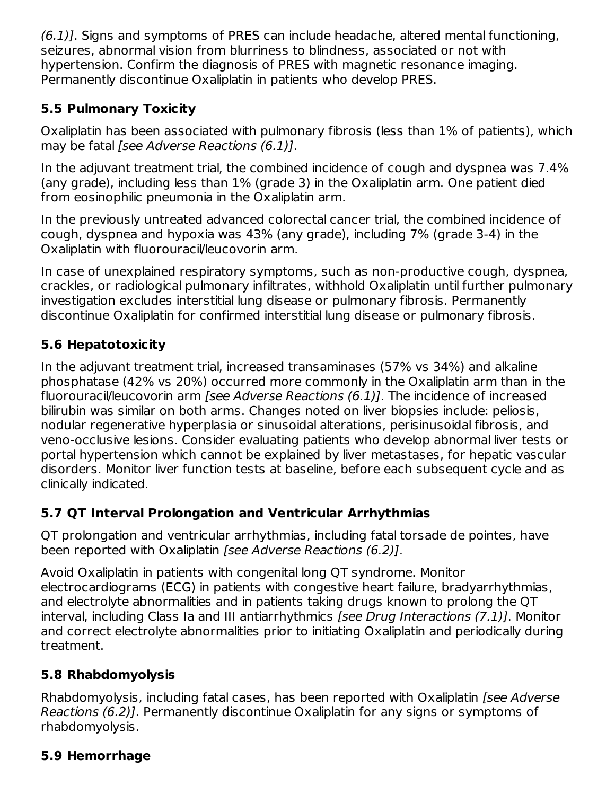(6.1)]. Signs and symptoms of PRES can include headache, altered mental functioning, seizures, abnormal vision from blurriness to blindness, associated or not with hypertension. Confirm the diagnosis of PRES with magnetic resonance imaging. Permanently discontinue Oxaliplatin in patients who develop PRES.

## **5.5 Pulmonary Toxicity**

Oxaliplatin has been associated with pulmonary fibrosis (less than 1% of patients), which may be fatal [see Adverse Reactions (6.1)].

In the adjuvant treatment trial, the combined incidence of cough and dyspnea was 7.4% (any grade), including less than 1% (grade 3) in the Oxaliplatin arm. One patient died from eosinophilic pneumonia in the Oxaliplatin arm.

In the previously untreated advanced colorectal cancer trial, the combined incidence of cough, dyspnea and hypoxia was 43% (any grade), including 7% (grade 3-4) in the Oxaliplatin with fluorouracil/leucovorin arm.

In case of unexplained respiratory symptoms, such as non-productive cough, dyspnea, crackles, or radiological pulmonary infiltrates, withhold Oxaliplatin until further pulmonary investigation excludes interstitial lung disease or pulmonary fibrosis. Permanently discontinue Oxaliplatin for confirmed interstitial lung disease or pulmonary fibrosis.

## **5.6 Hepatotoxicity**

In the adjuvant treatment trial, increased transaminases (57% vs 34%) and alkaline phosphatase (42% vs 20%) occurred more commonly in the Oxaliplatin arm than in the fluorouracil/leucovorin arm [see Adverse Reactions (6.1)]. The incidence of increased bilirubin was similar on both arms. Changes noted on liver biopsies include: peliosis, nodular regenerative hyperplasia or sinusoidal alterations, perisinusoidal fibrosis, and veno-occlusive lesions. Consider evaluating patients who develop abnormal liver tests or portal hypertension which cannot be explained by liver metastases, for hepatic vascular disorders. Monitor liver function tests at baseline, before each subsequent cycle and as clinically indicated.

## **5.7 QT Interval Prolongation and Ventricular Arrhythmias**

QT prolongation and ventricular arrhythmias, including fatal torsade de pointes, have been reported with Oxaliplatin [see Adverse Reactions (6.2)].

Avoid Oxaliplatin in patients with congenital long QT syndrome. Monitor electrocardiograms (ECG) in patients with congestive heart failure, bradyarrhythmias, and electrolyte abnormalities and in patients taking drugs known to prolong the QT interval, including Class Ia and III antiarrhythmics [see Drug Interactions (7.1)]. Monitor and correct electrolyte abnormalities prior to initiating Oxaliplatin and periodically during treatment.

## **5.8 Rhabdomyolysis**

Rhabdomyolysis, including fatal cases, has been reported with Oxaliplatin [see Adverse] Reactions (6.2)]. Permanently discontinue Oxaliplatin for any signs or symptoms of rhabdomyolysis.

## **5.9 Hemorrhage**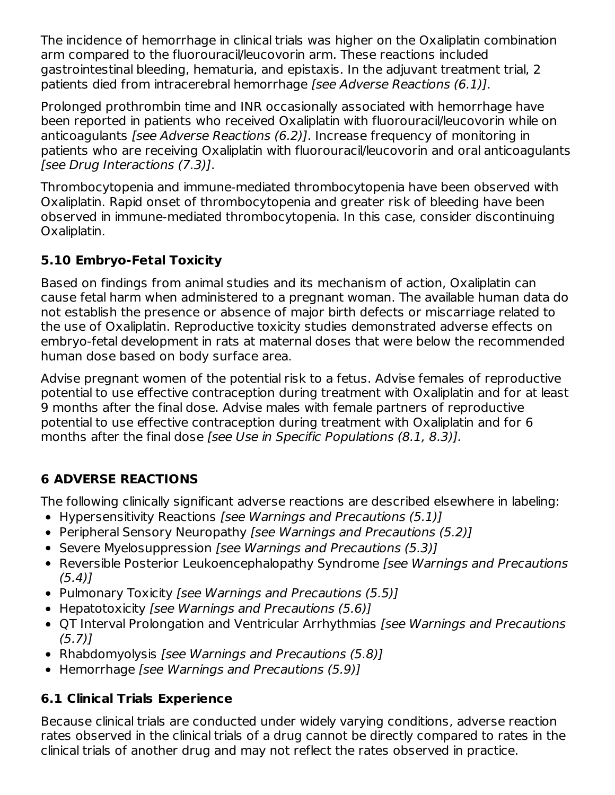The incidence of hemorrhage in clinical trials was higher on the Oxaliplatin combination arm compared to the fluorouracil/leucovorin arm. These reactions included gastrointestinal bleeding, hematuria, and epistaxis. In the adjuvant treatment trial, 2 patients died from intracerebral hemorrhage [see Adverse Reactions (6.1)].

Prolonged prothrombin time and INR occasionally associated with hemorrhage have been reported in patients who received Oxaliplatin with fluorouracil/leucovorin while on anticoagulants [see Adverse Reactions (6.2)]. Increase frequency of monitoring in patients who are receiving Oxaliplatin with fluorouracil/leucovorin and oral anticoagulants [see Drug Interactions (7.3)].

Thrombocytopenia and immune-mediated thrombocytopenia have been observed with Oxaliplatin. Rapid onset of thrombocytopenia and greater risk of bleeding have been observed in immune-mediated thrombocytopenia. In this case, consider discontinuing Oxaliplatin.

## **5.10 Embryo-Fetal Toxicity**

Based on findings from animal studies and its mechanism of action, Oxaliplatin can cause fetal harm when administered to a pregnant woman. The available human data do not establish the presence or absence of major birth defects or miscarriage related to the use of Oxaliplatin. Reproductive toxicity studies demonstrated adverse effects on embryo-fetal development in rats at maternal doses that were below the recommended human dose based on body surface area.

Advise pregnant women of the potential risk to a fetus. Advise females of reproductive potential to use effective contraception during treatment with Oxaliplatin and for at least 9 months after the final dose. Advise males with female partners of reproductive potential to use effective contraception during treatment with Oxaliplatin and for 6 months after the final dose [see Use in Specific Populations (8.1, 8.3)].

## **6 ADVERSE REACTIONS**

The following clinically significant adverse reactions are described elsewhere in labeling:

- Hypersensitivity Reactions [see Warnings and Precautions (5.1)]
- Peripheral Sensory Neuropathy [see Warnings and Precautions (5.2)]
- Severe Myelosuppression [see Warnings and Precautions (5.3)]
- Reversible Posterior Leukoencephalopathy Syndrome [see Warnings and Precautions  $(5.4)$ ]
- Pulmonary Toxicity *[see Warnings and Precautions (5.5)]*
- Hepatotoxicity [see Warnings and Precautions (5.6)]
- QT Interval Prolongation and Ventricular Arrhythmias [see Warnings and Precautions (5.7)]
- Rhabdomyolysis *[see Warnings and Precautions (5.8)]*
- Hemorrhage [see Warnings and Precautions (5.9)]

## **6.1 Clinical Trials Experience**

Because clinical trials are conducted under widely varying conditions, adverse reaction rates observed in the clinical trials of a drug cannot be directly compared to rates in the clinical trials of another drug and may not reflect the rates observed in practice.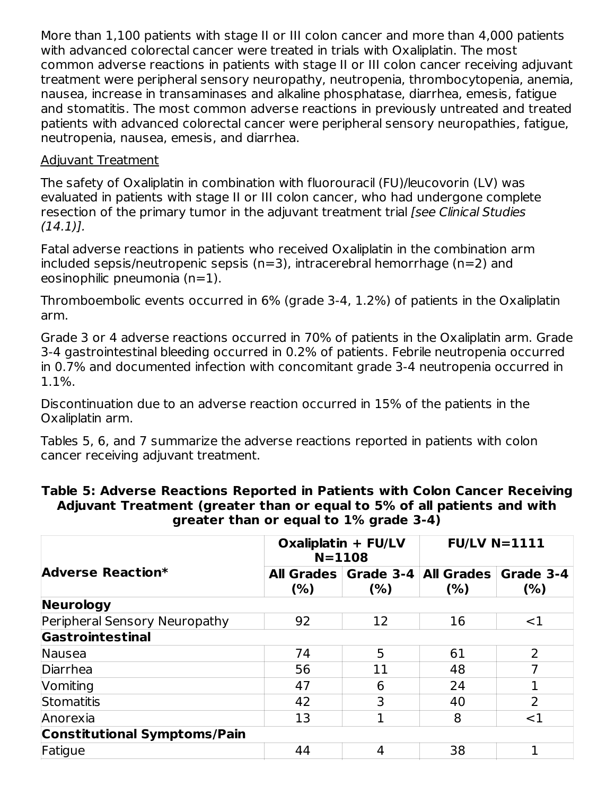More than 1,100 patients with stage II or III colon cancer and more than 4,000 patients with advanced colorectal cancer were treated in trials with Oxaliplatin. The most common adverse reactions in patients with stage II or III colon cancer receiving adjuvant treatment were peripheral sensory neuropathy, neutropenia, thrombocytopenia, anemia, nausea, increase in transaminases and alkaline phosphatase, diarrhea, emesis, fatigue and stomatitis. The most common adverse reactions in previously untreated and treated patients with advanced colorectal cancer were peripheral sensory neuropathies, fatigue, neutropenia, nausea, emesis, and diarrhea.

#### Adjuvant Treatment

The safety of Oxaliplatin in combination with fluorouracil (FU)/leucovorin (LV) was evaluated in patients with stage II or III colon cancer, who had undergone complete resection of the primary tumor in the adjuvant treatment trial [see Clinical Studies  $(14.1)$ ].

Fatal adverse reactions in patients who received Oxaliplatin in the combination arm included sepsis/neutropenic sepsis (n=3), intracerebral hemorrhage (n=2) and eosinophilic pneumonia (n=1).

Thromboembolic events occurred in 6% (grade 3-4, 1.2%) of patients in the Oxaliplatin arm.

Grade 3 or 4 adverse reactions occurred in 70% of patients in the Oxaliplatin arm. Grade 3-4 gastrointestinal bleeding occurred in 0.2% of patients. Febrile neutropenia occurred in 0.7% and documented infection with concomitant grade 3-4 neutropenia occurred in 1.1%.

Discontinuation due to an adverse reaction occurred in 15% of the patients in the Oxaliplatin arm.

Tables 5, 6, and 7 summarize the adverse reactions reported in patients with colon cancer receiving adjuvant treatment.

|                                     |                           | Oxaliplatin + FU/LV<br>$N = 1108$ | $FU/LV$ N=1111                   |                   |
|-------------------------------------|---------------------------|-----------------------------------|----------------------------------|-------------------|
| Adverse Reaction*                   | <b>All Grades</b><br>(% ) | (% )                              | Grade 3-4   All Grades  <br>(% ) | Grade 3-4<br>(% ) |
| <b>Neurology</b>                    |                           |                                   |                                  |                   |
| Peripheral Sensory Neuropathy       | 92                        | 12                                | 16                               | $<$ 1             |
| Gastrointestinal                    |                           |                                   |                                  |                   |
| Nausea                              | 74                        | 5                                 | 61                               | $\overline{2}$    |
| Diarrhea                            | 56                        | 11                                | 48                               | 7                 |
| Vomiting                            | 47                        | 6                                 | 24                               |                   |
| Stomatitis                          | 42                        | 3                                 | 40                               | 2                 |
| Anorexia                            | 13                        | 1                                 | 8                                | $<$ 1             |
| <b>Constitutional Symptoms/Pain</b> |                           |                                   |                                  |                   |
| Fatigue                             | 44                        | 4                                 | 38                               |                   |

#### **Table 5: Adverse Reactions Reported in Patients with Colon Cancer Receiving Adjuvant Treatment (greater than or equal to 5% of all patients and with greater than or equal to 1% grade 3-4)**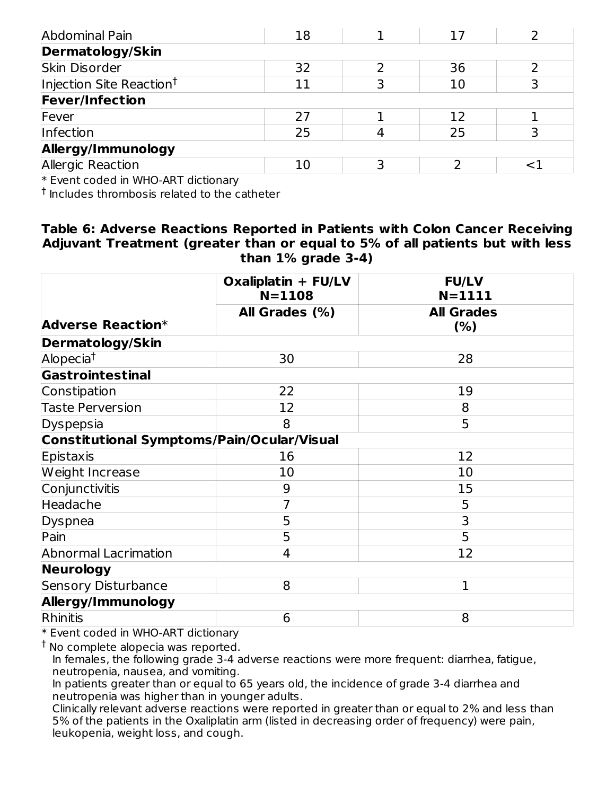| Abdominal Pain                       | 18 |   | 17 |  |
|--------------------------------------|----|---|----|--|
| Dermatology/Skin                     |    |   |    |  |
| Skin Disorder                        | 32 |   | 36 |  |
| Injection Site Reaction <sup>†</sup> | 11 |   | 10 |  |
| <b>Fever/Infection</b>               |    |   |    |  |
| Fever                                | 27 |   | 12 |  |
| Infection                            | 25 |   | 25 |  |
| Allergy/Immunology                   |    |   |    |  |
| Allergic Reaction                    | 10 | כ |    |  |
|                                      |    |   |    |  |

\* Event coded in WHO-ART dictionary

 $^\dagger$  Includes thrombosis related to the catheter

#### **Table 6: Adverse Reactions Reported in Patients with Colon Cancer Receiving Adjuvant Treatment (greater than or equal to 5% of all patients but with less than 1% grade 3-4)**

|                                                   | Oxaliplatin + FU/LV<br>$N = 1108$ | <b>FU/LV</b><br>$N = 1111$ |
|---------------------------------------------------|-----------------------------------|----------------------------|
|                                                   | All Grades (%)                    | <b>All Grades</b>          |
| <b>Adverse Reaction*</b>                          |                                   | (% )                       |
| <b>Dermatology/Skin</b>                           |                                   |                            |
| Alopecia <sup>†</sup>                             | 30                                | 28                         |
| Gastrointestinal                                  |                                   |                            |
| Constipation                                      | 22                                | 19                         |
| <b>Taste Perversion</b>                           | 12                                | 8                          |
| Dyspepsia                                         | 8                                 | 5                          |
| <b>Constitutional Symptoms/Pain/Ocular/Visual</b> |                                   |                            |
| Epistaxis                                         | 16                                | 12                         |
| Weight Increase                                   | 10                                | 10                         |
| Conjunctivitis                                    | 9                                 | 15                         |
| Headache                                          | 7                                 | 5                          |
| Dyspnea                                           | 5                                 | 3                          |
| Pain                                              | 5                                 | 5                          |
| <b>Abnormal Lacrimation</b>                       | 4                                 | 12                         |
| Neurology                                         |                                   |                            |
| <b>Sensory Disturbance</b>                        | 8                                 | $\mathbf{1}$               |
| Allergy/Immunology                                |                                   |                            |
| Rhinitis                                          | 6                                 | 8                          |

\* Event coded in WHO-ART dictionary

<sup>†</sup> No complete alopecia was reported.

In females, the following grade 3-4 adverse reactions were more frequent: diarrhea, fatigue, neutropenia, nausea, and vomiting.

In patients greater than or equal to 65 years old, the incidence of grade 3-4 diarrhea and neutropenia was higher than in younger adults.

Clinically relevant adverse reactions were reported in greater than or equal to 2% and less than 5% of the patients in the Oxaliplatin arm (listed in decreasing order of frequency) were pain, leukopenia, weight loss, and cough.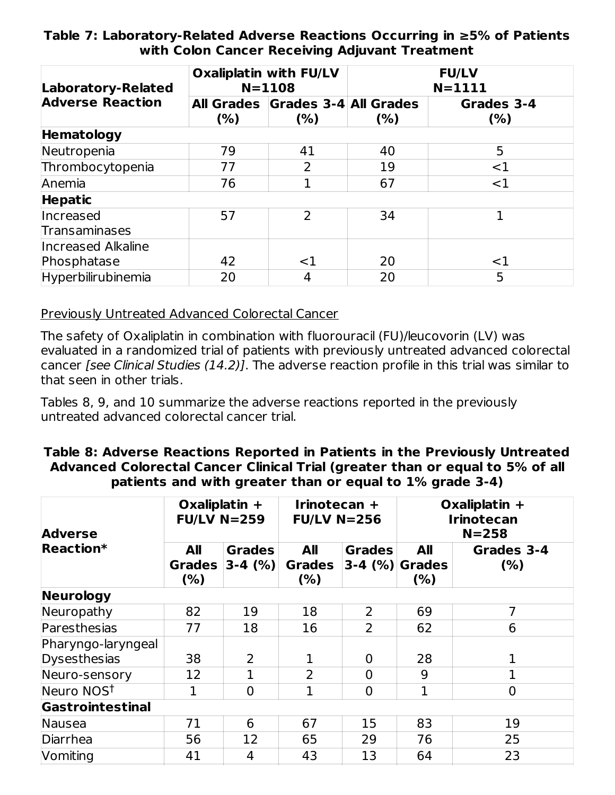#### **Table 7: Laboratory-Related Adverse Reactions Occurring in ≥5% of Patients with Colon Cancer Receiving Adjuvant Treatment**

| Laboratory-Related         |                                                 | <b>Oxaliplatin with FU/LV</b><br>$N = 1108$ | <b>FU/LV</b><br>$N = 1111$ |                    |  |
|----------------------------|-------------------------------------------------|---------------------------------------------|----------------------------|--------------------|--|
| <b>Adverse Reaction</b>    | All Grades Grades 3-4 All Grades<br>(%)<br>(% ) |                                             | (% )                       | Grades 3-4<br>(% ) |  |
| Hematology                 |                                                 |                                             |                            |                    |  |
| Neutropenia                | 79                                              | 41                                          | 40                         | 5                  |  |
| Thrombocytopenia           | 77                                              | 2                                           | 19                         | $<$ 1              |  |
| Anemia                     | 76                                              |                                             | 67                         | <1                 |  |
| <b>Hepatic</b>             |                                                 |                                             |                            |                    |  |
| Increased<br>Transaminases | 57                                              | $\mathcal{P}$                               | 34                         | 1                  |  |
| Increased Alkaline         |                                                 |                                             |                            |                    |  |
| Phosphatase                | 42                                              | $<$ 1                                       | 20                         | $<$ 1              |  |
| Hyperbilirubinemia         | 20                                              | 4                                           | 20                         | 5                  |  |

Previously Untreated Advanced Colorectal Cancer

The safety of Oxaliplatin in combination with fluorouracil (FU)/leucovorin (LV) was evaluated in a randomized trial of patients with previously untreated advanced colorectal cancer [see Clinical Studies (14.2)]. The adverse reaction profile in this trial was similar to that seen in other trials.

Tables 8, 9, and 10 summarize the adverse reactions reported in the previously untreated advanced colorectal cancer trial.

#### **Table 8: Adverse Reactions Reported in Patients in the Previously Untreated Advanced Colorectal Cancer Clinical Trial (greater than or equal to 5% of all patients and with greater than or equal to 1% grade 3-4)**

| <b>Adverse</b>         | Oxaliplatin $+$<br><b>FU/LV N=259</b> |                              | Irinotecan +<br>$FU/LV$ N=256 |                                      | Oxaliplatin +<br><b>Irinotecan</b><br>$N = 258$ |                    |
|------------------------|---------------------------------------|------------------------------|-------------------------------|--------------------------------------|-------------------------------------------------|--------------------|
| Reaction*              | All<br><b>Grades</b><br>(% )          | <b>Grades</b><br>$ 3-4 (%) $ | All<br><b>Grades</b><br>(%)   | <b>Grades</b><br>$ 3-4 \ (%)$ Grades | All<br>(% )                                     | Grades 3-4<br>(% ) |
| <b>Neurology</b>       |                                       |                              |                               |                                      |                                                 |                    |
| Neuropathy             | 82                                    | 19                           | 18                            | 2                                    | 69                                              | 7                  |
| Paresthesias           | 77                                    | 18                           | 16                            | $\overline{2}$                       | 62                                              | 6                  |
| Pharyngo-laryngeal     |                                       |                              |                               |                                      |                                                 |                    |
| Dysesthesias           | 38                                    | $\overline{2}$               | 1                             | 0                                    | 28                                              | 1                  |
| Neuro-sensory          | 12                                    |                              | $\overline{2}$                | $\overline{0}$                       | 9                                               | 1                  |
| Neuro NOS <sup>t</sup> | 1                                     | $\overline{0}$               | $\mathbf{1}$                  | $\overline{0}$                       | $\mathbf{1}$                                    | $\overline{0}$     |
| Gastrointestinal       |                                       |                              |                               |                                      |                                                 |                    |
| Nausea                 | 71                                    | 6                            | 67                            | 15                                   | 83                                              | 19                 |
| Diarrhea               | 56                                    | 12                           | 65                            | 29                                   | 76                                              | 25                 |
| Vomiting               | 41                                    | 4                            | 43                            | 13                                   | 64                                              | 23                 |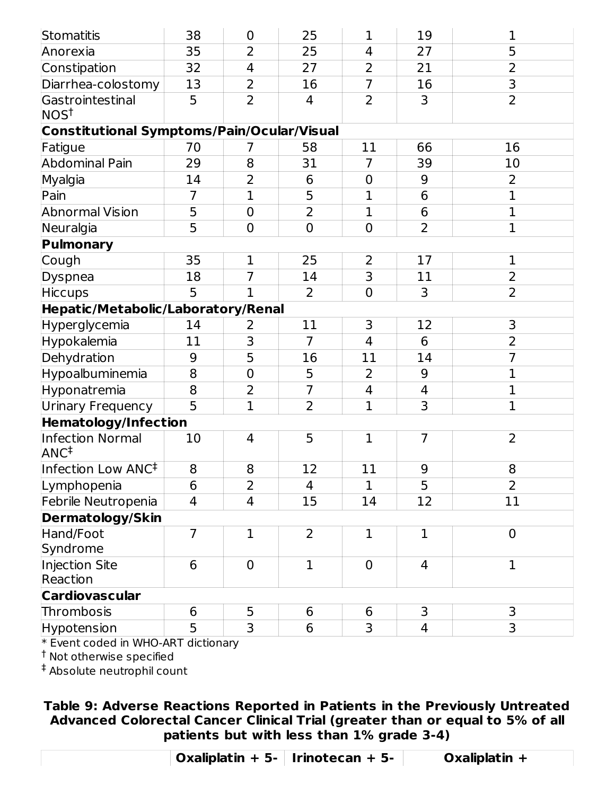| Stomatitis                                 | 38             | $\boldsymbol{0}$ | 25             | $\mathbf 1$    | 19             | 1              |
|--------------------------------------------|----------------|------------------|----------------|----------------|----------------|----------------|
| Anorexia                                   | 35             | $\overline{2}$   | 25             | $\overline{4}$ | 27             | $\overline{5}$ |
| Constipation                               | 32             | $\overline{4}$   | 27             | 2              | 21             | $\overline{2}$ |
| Diarrhea-colostomy                         | 13             | $\overline{2}$   | 16             | $\overline{7}$ | 16             | 3              |
| Gastrointestinal<br>NOS <sup>†</sup>       | 5              | $\overline{2}$   | 4              | $\overline{2}$ | 3              | $\overline{2}$ |
| Constitutional Symptoms/Pain/Ocular/Visual |                |                  |                |                |                |                |
| Fatigue                                    | 70             | 7                | 58             | 11             | 66             | 16             |
| <b>Abdominal Pain</b>                      | 29             | 8                | 31             | 7              | 39             | 10             |
| Myalgia                                    | 14             | $\overline{2}$   | 6              | $\mathbf 0$    | 9              | $\overline{2}$ |
| Pain                                       | $\overline{7}$ | $\mathbf{1}$     | 5              | $\mathbf 1$    | 6              | $\mathbf 1$    |
| <b>Abnormal Vision</b>                     | 5              | $\overline{0}$   | $\overline{2}$ | 1              | 6              | $\mathbf 1$    |
| Neuralgia                                  | 5              | $\mathbf 0$      | $\mathbf 0$    | $\mathbf 0$    | $\overline{2}$ | $\mathbf{1}$   |
| Pulmonary                                  |                |                  |                |                |                |                |
| Cough                                      | 35             | $\mathbf 1$      | 25             | $\overline{2}$ | 17             | $\mathbf 1$    |
| <b>Dyspnea</b>                             | 18             | $\overline{7}$   | 14             | $\overline{3}$ | 11             | $\overline{2}$ |
| <b>Hiccups</b>                             | 5              | $\overline{1}$   | $\overline{2}$ | $\mathbf 0$    | 3              | $\overline{2}$ |
| Hepatic/Metabolic/Laboratory/Renal         |                |                  |                |                |                |                |
| Hyperglycemia                              | 14             | 2                | 11             | 3              | 12             | 3              |
| Hypokalemia                                | 11             | 3                | $\overline{7}$ | $\overline{4}$ | 6              | $\overline{2}$ |
| Dehydration                                | 9              | 5                | 16             | 11             | 14             | $\overline{7}$ |
| Hypoalbuminemia                            | 8              | $\mathbf 0$      | 5              | $\overline{2}$ | 9              | $\mathbf 1$    |
| Hyponatremia                               | 8              | $\overline{2}$   | $\overline{7}$ | $\overline{4}$ | $\overline{4}$ | $\mathbf 1$    |
| <b>Urinary Frequency</b>                   | 5              | $\mathbf{1}$     | 2              | $\mathbf{1}$   | 3              | $\mathbf{1}$   |
| Hematology/Infection                       |                |                  |                |                |                |                |
| Infection Normal<br>ANC <sup>‡</sup>       | 10             | $\overline{4}$   | 5              | $\mathbf{1}$   | $\overline{7}$ | 2              |
| Infection Low ANC <sup>‡</sup>             | 8              | 8                | 12             | 11             | 9              | 8              |
| Lymphopenia                                | 6              | 2                | 4              | $\mathbf{1}$   | 5              | $\overline{2}$ |
| Febrile Neutropenia                        | 4              | $\overline{4}$   | 15             | 14             | 12             | 11             |
| <b>Dermatology/Skin</b>                    |                |                  |                |                |                |                |
| Hand/Foot                                  | $\overline{7}$ | $\mathbf{1}$     | $\overline{2}$ | $\mathbf 1$    | $\mathbf{1}$   | $\mathbf 0$    |
| Syndrome                                   |                |                  |                |                |                |                |
| Injection Site<br>Reaction                 | 6              | $\overline{0}$   | $\mathbf{1}$   | $\overline{0}$ | 4              | $\mathbf{1}$   |
| <b>Cardiovascular</b>                      |                |                  |                |                |                |                |
| Thrombosis                                 | 6              | 5                | 6              | 6              | 3              | 3              |
| Hypotension                                | 5              | 3                | 6              | 3              | $\overline{4}$ | 3              |
|                                            |                |                  |                |                |                |                |

\* Event coded in WHO-ART dictionary

 $^\dagger$  Not otherwise specified

 $^\ddag$  Absolute neutrophil count

**Table 9: Adverse Reactions Reported in Patients in the Previously Untreated Advanced Colorectal Cancer Clinical Trial (greater than or equal to 5% of all patients but with less than 1% grade 3-4)**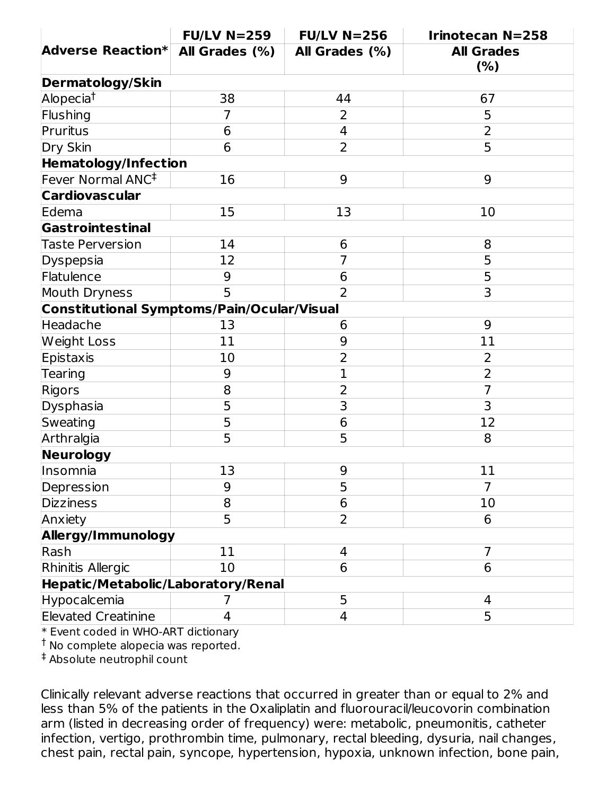|                                            | $FU/LV$ N=259  | $FU/LV$ N=256  | <b>Irinotecan N=258</b>  |
|--------------------------------------------|----------------|----------------|--------------------------|
| <b>Adverse Reaction*</b>                   | All Grades (%) | All Grades (%) | <b>All Grades</b><br>(%) |
| <b>Dermatology/Skin</b>                    |                |                |                          |
| Alopecia <sup>t</sup>                      | 38             | 44             | 67                       |
| Flushing                                   | $\overline{7}$ | 2              | 5                        |
| Pruritus                                   | 6              | $\overline{4}$ | $\overline{2}$           |
| Dry Skin                                   | 6              | $\overline{2}$ | 5                        |
| <b>Hematology/Infection</b>                |                |                |                          |
| Fever Normal ANC <sup>‡</sup>              | 16             | 9              | 9                        |
| <b>Cardiovascular</b>                      |                |                |                          |
| Edema                                      | 15             | 13             | 10                       |
| Gastrointestinal                           |                |                |                          |
| <b>Taste Perversion</b>                    | 14             | 6              | 8                        |
| Dyspepsia                                  | 12             | $\overline{7}$ | 5                        |
| Flatulence                                 | 9              | 6              | 5                        |
| Mouth Dryness                              | 5              | $\overline{2}$ | 3                        |
| Constitutional Symptoms/Pain/Ocular/Visual |                |                |                          |
| Headache                                   | 13             | 6              | 9                        |
| <b>Weight Loss</b>                         | 11             | 9              | 11                       |
| Epistaxis                                  | 10             | $\overline{2}$ | $\overline{2}$           |
| Tearing                                    | 9              | $\mathbf{1}$   | $\overline{2}$           |
| Rigors                                     | 8              | $\overline{2}$ | $\overline{7}$           |
| Dysphasia                                  | 5              | 3              | 3                        |
| Sweating                                   | $\overline{5}$ | 6              | 12                       |
| Arthralgia                                 | $\overline{5}$ | 5              | 8                        |
| Neurology                                  |                |                |                          |
| Insomnia                                   | 13             | 9              | 11                       |
| Depression                                 | 9              | 5              | 7                        |
| <b>Dizziness</b>                           | 8              | 6              | 10                       |
| Anxiety                                    | 5              | $\overline{2}$ | 6                        |
| Allergy/Immunology                         |                |                |                          |
| Rash                                       | 11             | 4              | $\overline{7}$           |
| Rhinitis Allergic                          | 10             | 6              | 6                        |
| Hepatic/Metabolic/Laboratory/Renal         |                |                |                          |
| Hypocalcemia                               | 7              | 5              | 4                        |
| <b>Elevated Creatinine</b>                 | 4              | $\overline{4}$ | 5                        |

\* Event coded in WHO-ART dictionary

<sup>†</sup> No complete alopecia was reported.

Absolute neutrophil count ‡

Clinically relevant adverse reactions that occurred in greater than or equal to 2% and less than 5% of the patients in the Oxaliplatin and fluorouracil/leucovorin combination arm (listed in decreasing order of frequency) were: metabolic, pneumonitis, catheter infection, vertigo, prothrombin time, pulmonary, rectal bleeding, dysuria, nail changes, chest pain, rectal pain, syncope, hypertension, hypoxia, unknown infection, bone pain,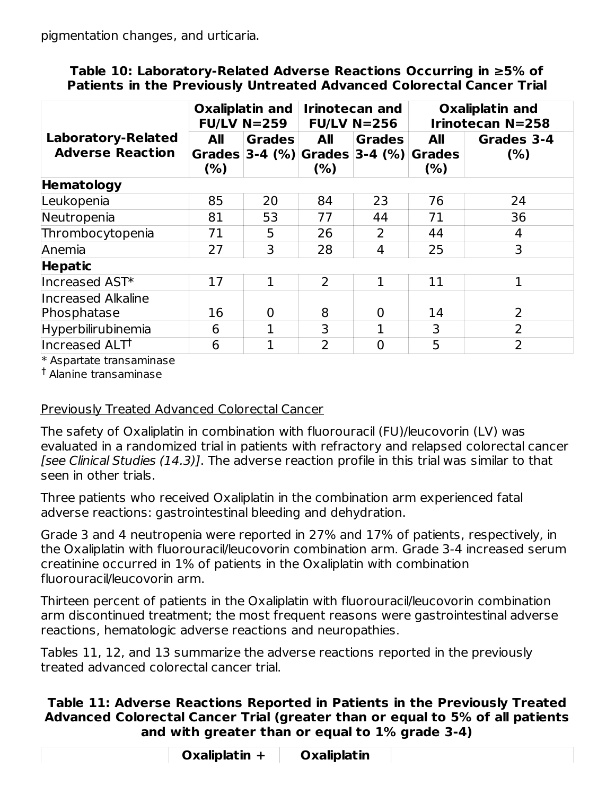pigmentation changes, and urticaria.

#### **Table 10: Laboratory-Related Adverse Reactions Occurring in ≥5% of Patients in the Previously Untreated Advanced Colorectal Cancer Trial**

| Oxaliplatin and<br><b>FU/LV N=259</b>                |                    | <b>Irinotecan and</b><br>$FU/LV$ N=256 |                | <b>Oxaliplatin and</b><br><b>Irinotecan N=258</b>    |                                     |                    |
|------------------------------------------------------|--------------------|----------------------------------------|----------------|------------------------------------------------------|-------------------------------------|--------------------|
| <b>Laboratory-Related</b><br><b>Adverse Reaction</b> | <b>All</b><br>(% ) | <b>Grades</b>                          | All<br>(%)     | <b>Grades</b><br>Grades 3-4 $(\%)$ Grades 3-4 $(\%)$ | <b>All</b><br><b>Grades</b><br>(% ) | Grades 3-4<br>(% ) |
| <b>Hematology</b>                                    |                    |                                        |                |                                                      |                                     |                    |
| Leukopenia                                           | 85                 | 20                                     | 84             | 23                                                   | 76                                  | 24                 |
| Neutropenia                                          | 81                 | 53                                     | 77             | 44                                                   | 71                                  | 36                 |
| Thrombocytopenia                                     | 71                 | 5                                      | 26             | 2                                                    | 44                                  | 4                  |
| Anemia                                               | 27                 | 3                                      | 28             | 4                                                    | 25                                  | 3                  |
| <b>Hepatic</b>                                       |                    |                                        |                |                                                      |                                     |                    |
| Increased AST*                                       | 17                 | 1                                      | $\overline{2}$ | $\mathbf{1}$                                         | 11                                  |                    |
| <b>Increased Alkaline</b>                            |                    |                                        |                |                                                      |                                     |                    |
| Phosphatase                                          | 16                 | $\overline{0}$                         | 8              | 0                                                    | 14                                  | 2                  |
| Hyperbilirubinemia                                   | 6                  | 1                                      | 3              | 1                                                    | 3                                   | $\overline{2}$     |
| Increased ALTT                                       | 6                  |                                        | $\overline{2}$ | 0                                                    | 5                                   | $\overline{2}$     |

\* Aspartate transaminase

<sup>†</sup> Alanine transaminase

### Previously Treated Advanced Colorectal Cancer

The safety of Oxaliplatin in combination with fluorouracil (FU)/leucovorin (LV) was evaluated in a randomized trial in patients with refractory and relapsed colorectal cancer [see Clinical Studies (14.3)]. The adverse reaction profile in this trial was similar to that seen in other trials.

Three patients who received Oxaliplatin in the combination arm experienced fatal adverse reactions: gastrointestinal bleeding and dehydration.

Grade 3 and 4 neutropenia were reported in 27% and 17% of patients, respectively, in the Oxaliplatin with fluorouracil/leucovorin combination arm. Grade 3-4 increased serum creatinine occurred in 1% of patients in the Oxaliplatin with combination fluorouracil/leucovorin arm.

Thirteen percent of patients in the Oxaliplatin with fluorouracil/leucovorin combination arm discontinued treatment; the most frequent reasons were gastrointestinal adverse reactions, hematologic adverse reactions and neuropathies.

Tables 11, 12, and 13 summarize the adverse reactions reported in the previously treated advanced colorectal cancer trial.

#### **Table 11: Adverse Reactions Reported in Patients in the Previously Treated Advanced Colorectal Cancer Trial (greater than or equal to 5% of all patients and with greater than or equal to 1% grade 3-4)**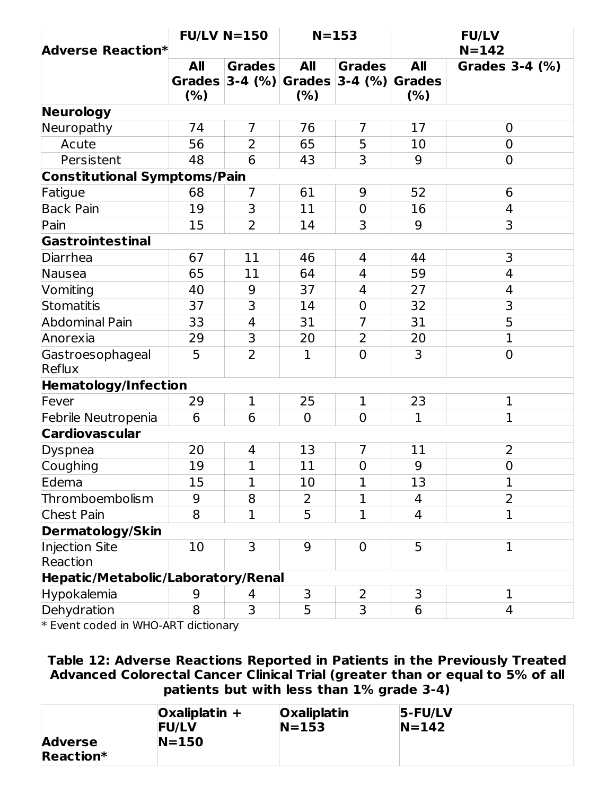| <b>Adverse Reaction*</b>            | $FU/LV$ N=150               |                              | $N = 153$                           |                            | <b>FU/LV</b><br>$N = 142$          |                |
|-------------------------------------|-----------------------------|------------------------------|-------------------------------------|----------------------------|------------------------------------|----------------|
|                                     | All<br><b>Grades</b><br>(%) | <b>Grades</b><br>$ 3-4 (%) $ | <b>All</b><br><b>Grades</b><br>(% ) | <b>Grades</b><br>$3-4$ (%) | <b>All</b><br><b>Grades</b><br>(%) | Grades 3-4 (%) |
| <b>Neurology</b>                    |                             |                              |                                     |                            |                                    |                |
| Neuropathy                          | 74                          | $\overline{7}$               | 76                                  | $\overline{7}$             | 17                                 | 0              |
| Acute                               | 56                          | 2                            | 65                                  | 5                          | 10                                 | 0              |
| Persistent                          | 48                          | 6                            | 43                                  | 3                          | 9                                  | $\overline{0}$ |
| <b>Constitutional Symptoms/Pain</b> |                             |                              |                                     |                            |                                    |                |
| Fatigue                             | 68                          | $\overline{7}$               | 61                                  | 9                          | 52                                 | 6              |
| <b>Back Pain</b>                    | 19                          | 3                            | 11                                  | $\overline{0}$             | 16                                 | 4              |
| Pain                                | 15                          | $\overline{2}$               | 14                                  | 3                          | 9                                  | 3              |
| Gastrointestinal                    |                             |                              |                                     |                            |                                    |                |
| Diarrhea                            | 67                          | 11                           | 46                                  | 4                          | 44                                 | 3              |
| Nausea                              | 65                          | 11                           | 64                                  | 4                          | 59                                 | 4              |
| Vomiting                            | 40                          | 9                            | 37                                  | $\overline{4}$             | 27                                 | 4              |
| Stomatitis                          | 37                          | 3                            | 14                                  | $\overline{0}$             | 32                                 | 3              |
| Abdominal Pain                      | 33                          | $\overline{4}$               | 31                                  | $\overline{7}$             | 31                                 | 5              |
| Anorexia                            | 29                          | 3                            | 20                                  | $\overline{2}$             | 20                                 | $\mathbf{1}$   |
| Gastroesophageal<br>Reflux          | 5                           | $\overline{2}$               | $\mathbf{1}$                        | $\Omega$                   | 3                                  | $\overline{0}$ |
| <b>Hematology/Infection</b>         |                             |                              |                                     |                            |                                    |                |
| Fever                               | 29                          | $\mathbf{1}$                 | 25                                  | $\mathbf{1}$               | 23                                 | $\mathbf 1$    |
| Febrile Neutropenia                 | 6                           | 6                            | $\overline{0}$                      | $\overline{0}$             | $\mathbf{1}$                       | $\mathbf 1$    |
| <b>Cardiovascular</b>               |                             |                              |                                     |                            |                                    |                |
| Dyspnea                             | 20                          | 4                            | 13                                  | $\overline{7}$             | 11                                 | $\overline{2}$ |
| Coughing                            | 19                          | $\overline{1}$               | 11                                  | $\overline{0}$             | 9                                  | $\overline{0}$ |
| Edema                               | 15                          | $\mathbf 1$                  | 10                                  | 1                          | 13                                 | 1              |
| Thromboembolism                     | 9                           | 8                            | $\overline{2}$                      | $\mathbf{1}$               | $\overline{4}$                     | $\overline{2}$ |
| Chest Pain                          | 8                           | $\mathbf 1$                  | 5                                   | $\mathbf 1$                | 4                                  | $\mathbf 1$    |
| <b>Dermatology/Skin</b>             |                             |                              |                                     |                            |                                    |                |
| Injection Site<br>Reaction          | 10                          | 3                            | 9                                   | $\overline{0}$             | 5                                  | $\mathbf{1}$   |
| Hepatic/Metabolic/Laboratory/Renal  |                             |                              |                                     |                            |                                    |                |
| Hypokalemia                         | 9                           | 4                            | 3                                   | $\overline{2}$             | 3                                  | $\mathbf{1}$   |
| Dehydration                         | 8                           | 3                            | 5                                   | 3                          | 6                                  | 4              |

\* Event coded in WHO-ART dictionary

**Table 12: Adverse Reactions Reported in Patients in the Previously Treated Advanced Colorectal Cancer Clinical Trial (greater than or equal to 5% of all patients but with less than 1% grade 3-4)**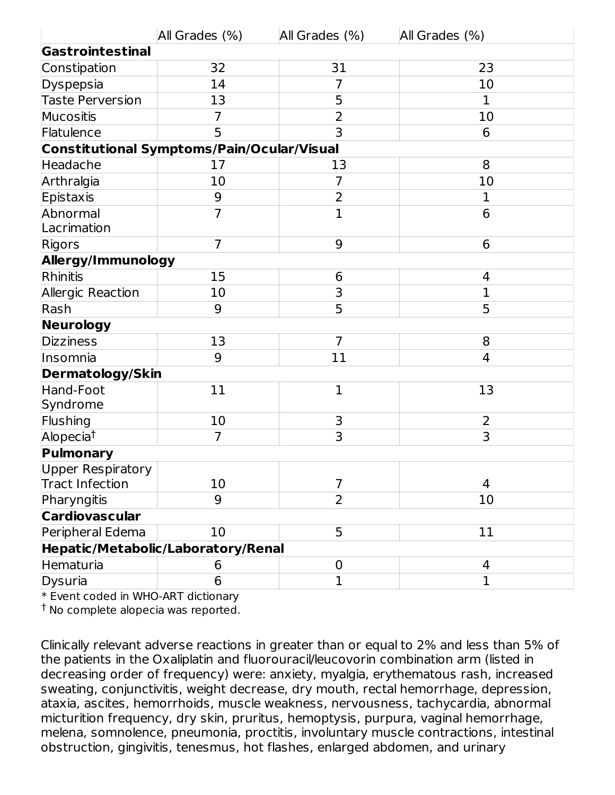|                          | All Grades (%)                             | All Grades (%)          | All Grades (%) |
|--------------------------|--------------------------------------------|-------------------------|----------------|
| Gastrointestinal         |                                            |                         |                |
| Constipation             | 32                                         | 31                      | 23             |
| Dyspepsia                | 14                                         | $\overline{7}$          | 10             |
| <b>Taste Perversion</b>  | 13                                         | 5                       | 1              |
| Mucositis                | 7                                          | $\overline{2}$          | 10             |
| Flatulence               | 5                                          | 3                       | 6              |
|                          | Constitutional Symptoms/Pain/Ocular/Visual |                         |                |
| Headache                 | 17                                         | 13                      | 8              |
| Arthralgia               | 10                                         | $\overline{7}$          | 10             |
| Epistaxis                | $9\,$                                      | $\overline{2}$          | 1              |
| Abnormal                 | $\overline{7}$                             | $\mathbf{1}$            | 6              |
| Lacrimation              |                                            |                         |                |
| Rigors                   | $\overline{7}$                             | 9                       | 6              |
| Allergy/Immunology       |                                            |                         |                |
| Rhinitis                 | 15                                         | 6                       | 4              |
| Allergic Reaction        | 10                                         | 3                       | $\overline{1}$ |
| Rash                     | 9                                          | 5                       | 5              |
| Neurology                |                                            |                         |                |
| Dizziness                | 13                                         | $\overline{7}$          | 8              |
| Insomnia                 | 9                                          | 11                      | $\overline{4}$ |
| <b>Dermatology/Skin</b>  |                                            |                         |                |
| Hand-Foot                | 11                                         | $\mathbf{1}$            | 13             |
| Syndrome                 |                                            |                         |                |
| Flushing                 | 10                                         | 3                       | 2              |
| Alopecia <sup>t</sup>    | $\overline{7}$                             | $\overline{\mathbf{3}}$ | $\overline{3}$ |
| Pulmonary                |                                            |                         |                |
| <b>Upper Respiratory</b> |                                            |                         |                |
| <b>Tract Infection</b>   | 10                                         | 7                       | 4              |
| Pharyngitis              | 9                                          | $\overline{2}$          | 10             |
| <b>Cardiovascular</b>    |                                            |                         |                |
| Peripheral Edema         | 10                                         | 5                       | 11             |
|                          | Hepatic/Metabolic/Laboratory/Renal         |                         |                |
| Hematuria                | 6                                          | $\mathbf 0$             | $\overline{4}$ |
| <b>Dysuria</b>           | 6                                          | $\mathbf{1}$            | $\mathbf{1}$   |

\* Event coded in WHO-ART dictionary

<sup>†</sup> No complete alopecia was reported.

Clinically relevant adverse reactions in greater than or equal to 2% and less than 5% of the patients in the Oxaliplatin and fluorouracil/leucovorin combination arm (listed in decreasing order of frequency) were: anxiety, myalgia, erythematous rash, increased sweating, conjunctivitis, weight decrease, dry mouth, rectal hemorrhage, depression, ataxia, ascites, hemorrhoids, muscle weakness, nervousness, tachycardia, abnormal micturition frequency, dry skin, pruritus, hemoptysis, purpura, vaginal hemorrhage, melena, somnolence, pneumonia, proctitis, involuntary muscle contractions, intestinal obstruction, gingivitis, tenesmus, hot flashes, enlarged abdomen, and urinary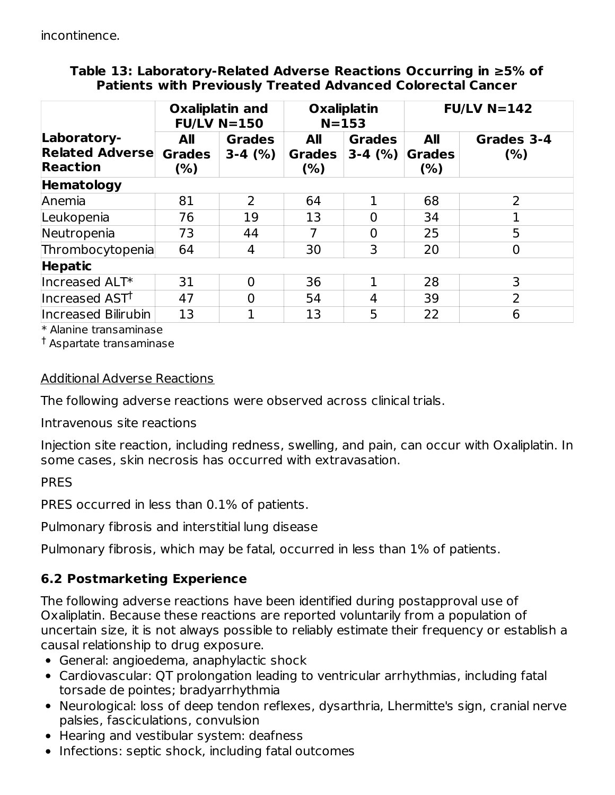#### **Table 13: Laboratory-Related Adverse Reactions Occurring in ≥5% of Patients with Previously Treated Advanced Colorectal Cancer**

|                                                          | <b>Oxaliplatin and</b><br>$FU/LV$ N=150 |                            | <b>Oxaliplatin</b><br>$N = 153$    |                            | $FU/LV N=142$                  |                    |
|----------------------------------------------------------|-----------------------------------------|----------------------------|------------------------------------|----------------------------|--------------------------------|--------------------|
| Laboratory-<br><b>Related Adverse</b><br><b>Reaction</b> | All<br><b>Grades</b><br>(%)             | <b>Grades</b><br>$3-4$ (%) | <b>All</b><br><b>Grades</b><br>(%) | <b>Grades</b><br>$3-4$ (%) | All<br><b>Grades</b><br>$(\%)$ | Grades 3-4<br>(% ) |
| <b>Hematology</b>                                        |                                         |                            |                                    |                            |                                |                    |
| Anemia                                                   | 81                                      | $\overline{2}$             | 64                                 | 1                          | 68                             | 2                  |
| Leukopenia                                               | 76                                      | 19                         | 13                                 | $\overline{0}$             | 34                             |                    |
| Neutropenia                                              | 73                                      | 44                         | 7                                  | $\overline{0}$             | 25                             | 5                  |
| Thrombocytopenia                                         | 64                                      | 4                          | 30                                 | 3                          | 20                             | 0                  |
| <b>Hepatic</b>                                           |                                         |                            |                                    |                            |                                |                    |
| Increased ALT*                                           | 31                                      | $\Omega$                   | 36                                 | 1                          | 28                             | 3                  |
| Increased AST <sup>†</sup>                               | 47                                      | $\Omega$                   | 54                                 | 4                          | 39                             | $\overline{2}$     |
| <b>Increased Bilirubin</b>                               | 13                                      |                            | 13                                 | 5                          | 22                             | 6                  |

\* Alanine transaminase

 $^\dagger$  Aspartate transaminase

#### Additional Adverse Reactions

The following adverse reactions were observed across clinical trials.

Intravenous site reactions

Injection site reaction, including redness, swelling, and pain, can occur with Oxaliplatin. In some cases, skin necrosis has occurred with extravasation.

#### PRES

PRES occurred in less than 0.1% of patients.

Pulmonary fibrosis and interstitial lung disease

Pulmonary fibrosis, which may be fatal, occurred in less than 1% of patients.

### **6.2 Postmarketing Experience**

The following adverse reactions have been identified during postapproval use of Oxaliplatin. Because these reactions are reported voluntarily from a population of uncertain size, it is not always possible to reliably estimate their frequency or establish a causal relationship to drug exposure.

- General: angioedema, anaphylactic shock
- Cardiovascular: QT prolongation leading to ventricular arrhythmias, including fatal torsade de pointes; bradyarrhythmia
- Neurological: loss of deep tendon reflexes, dysarthria, Lhermitte's sign, cranial nerve palsies, fasciculations, convulsion
- Hearing and vestibular system: deafness
- Infections: septic shock, including fatal outcomes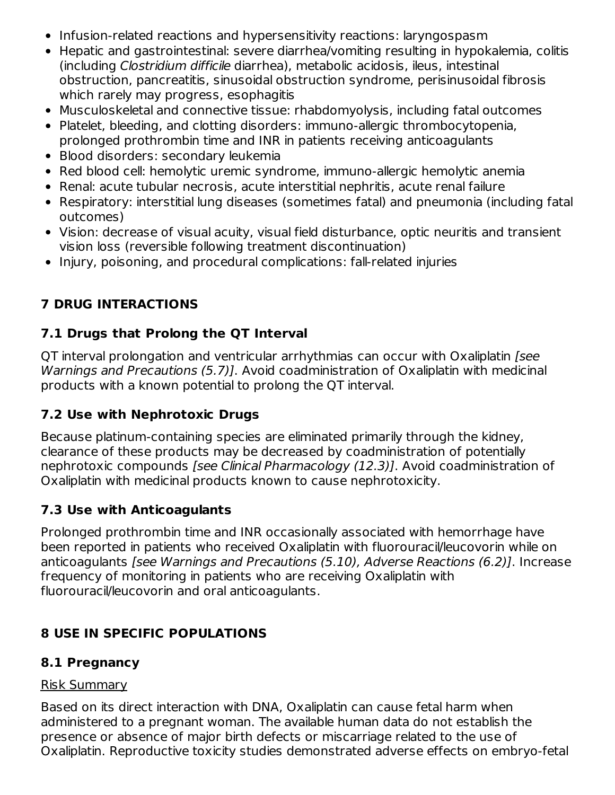- Infusion-related reactions and hypersensitivity reactions: laryngospasm
- Hepatic and gastrointestinal: severe diarrhea/vomiting resulting in hypokalemia, colitis (including Clostridium difficile diarrhea), metabolic acidosis, ileus, intestinal obstruction, pancreatitis, sinusoidal obstruction syndrome, perisinusoidal fibrosis which rarely may progress, esophagitis
- Musculoskeletal and connective tissue: rhabdomyolysis, including fatal outcomes
- Platelet, bleeding, and clotting disorders: immuno-allergic thrombocytopenia, prolonged prothrombin time and INR in patients receiving anticoagulants
- Blood disorders: secondary leukemia
- Red blood cell: hemolytic uremic syndrome, immuno-allergic hemolytic anemia
- Renal: acute tubular necrosis, acute interstitial nephritis, acute renal failure
- Respiratory: interstitial lung diseases (sometimes fatal) and pneumonia (including fatal outcomes)
- Vision: decrease of visual acuity, visual field disturbance, optic neuritis and transient vision loss (reversible following treatment discontinuation)
- Injury, poisoning, and procedural complications: fall-related injuries

## **7 DRUG INTERACTIONS**

## **7.1 Drugs that Prolong the QT Interval**

QT interval prolongation and ventricular arrhythmias can occur with Oxaliplatin [see Warnings and Precautions (5.7)]. Avoid coadministration of Oxaliplatin with medicinal products with a known potential to prolong the QT interval.

### **7.2 Use with Nephrotoxic Drugs**

Because platinum-containing species are eliminated primarily through the kidney, clearance of these products may be decreased by coadministration of potentially nephrotoxic compounds [see Clinical Pharmacology (12.3)]. Avoid coadministration of Oxaliplatin with medicinal products known to cause nephrotoxicity.

### **7.3 Use with Anticoagulants**

Prolonged prothrombin time and INR occasionally associated with hemorrhage have been reported in patients who received Oxaliplatin with fluorouracil/leucovorin while on anticoagulants [see Warnings and Precautions (5.10), Adverse Reactions (6.2)]. Increase frequency of monitoring in patients who are receiving Oxaliplatin with fluorouracil/leucovorin and oral anticoagulants.

## **8 USE IN SPECIFIC POPULATIONS**

## **8.1 Pregnancy**

#### Risk Summary

Based on its direct interaction with DNA, Oxaliplatin can cause fetal harm when administered to a pregnant woman. The available human data do not establish the presence or absence of major birth defects or miscarriage related to the use of Oxaliplatin. Reproductive toxicity studies demonstrated adverse effects on embryo-fetal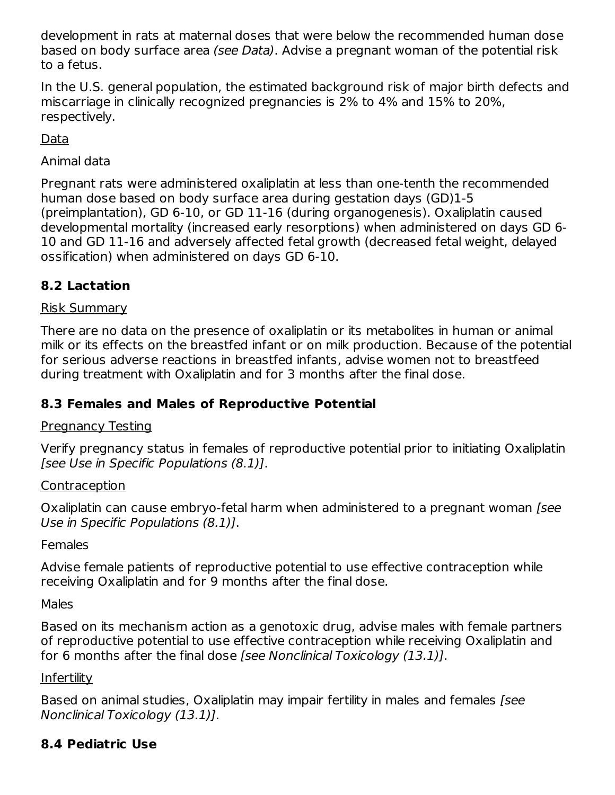development in rats at maternal doses that were below the recommended human dose based on body surface area (see Data). Advise a pregnant woman of the potential risk to a fetus.

In the U.S. general population, the estimated background risk of major birth defects and miscarriage in clinically recognized pregnancies is 2% to 4% and 15% to 20%, respectively.

Data

Animal data

Pregnant rats were administered oxaliplatin at less than one-tenth the recommended human dose based on body surface area during gestation days (GD)1-5 (preimplantation), GD 6-10, or GD 11-16 (during organogenesis). Oxaliplatin caused developmental mortality (increased early resorptions) when administered on days GD 6- 10 and GD 11-16 and adversely affected fetal growth (decreased fetal weight, delayed ossification) when administered on days GD 6-10.

## **8.2 Lactation**

## Risk Summary

There are no data on the presence of oxaliplatin or its metabolites in human or animal milk or its effects on the breastfed infant or on milk production. Because of the potential for serious adverse reactions in breastfed infants, advise women not to breastfeed during treatment with Oxaliplatin and for 3 months after the final dose.

## **8.3 Females and Males of Reproductive Potential**

## Pregnancy Testing

Verify pregnancy status in females of reproductive potential prior to initiating Oxaliplatin [see Use in Specific Populations (8.1)].

## **Contraception**

Oxaliplatin can cause embryo-fetal harm when administered to a pregnant woman [see Use in Specific Populations (8.1)].

## Females

Advise female patients of reproductive potential to use effective contraception while receiving Oxaliplatin and for 9 months after the final dose.

Males

Based on its mechanism action as a genotoxic drug, advise males with female partners of reproductive potential to use effective contraception while receiving Oxaliplatin and for 6 months after the final dose [see Nonclinical Toxicology (13.1)].

## **Infertility**

Based on animal studies, Oxaliplatin may impair fertility in males and females [see Nonclinical Toxicology (13.1)].

## **8.4 Pediatric Use**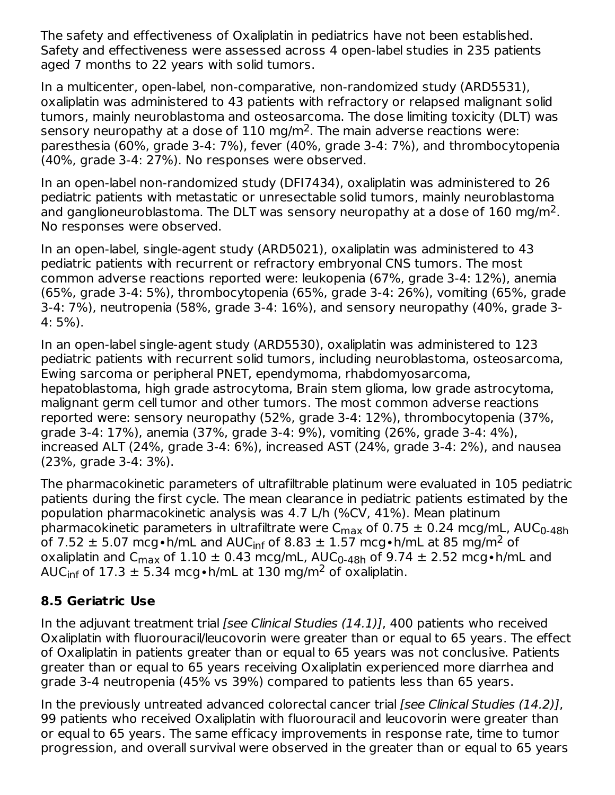The safety and effectiveness of Oxaliplatin in pediatrics have not been established. Safety and effectiveness were assessed across 4 open-label studies in 235 patients aged 7 months to 22 years with solid tumors.

In a multicenter, open-label, non-comparative, non-randomized study (ARD5531), oxaliplatin was administered to 43 patients with refractory or relapsed malignant solid tumors, mainly neuroblastoma and osteosarcoma. The dose limiting toxicity (DLT) was sensory neuropathy at a dose of  $110 \text{ mg/m}^2$ . The main adverse reactions were: paresthesia (60%, grade 3-4: 7%), fever (40%, grade 3-4: 7%), and thrombocytopenia (40%, grade 3-4: 27%). No responses were observed.

In an open-label non-randomized study (DFI7434), oxaliplatin was administered to 26 pediatric patients with metastatic or unresectable solid tumors, mainly neuroblastoma and ganglioneuroblastoma. The DLT was sensory neuropathy at a dose of  $160 \text{ mg/m}^2$ . No responses were observed.

In an open-label, single-agent study (ARD5021), oxaliplatin was administered to 43 pediatric patients with recurrent or refractory embryonal CNS tumors. The most common adverse reactions reported were: leukopenia (67%, grade 3-4: 12%), anemia (65%, grade 3-4: 5%), thrombocytopenia (65%, grade 3-4: 26%), vomiting (65%, grade 3-4: 7%), neutropenia (58%, grade 3-4: 16%), and sensory neuropathy (40%, grade 3- 4: 5%).

In an open-label single-agent study (ARD5530), oxaliplatin was administered to 123 pediatric patients with recurrent solid tumors, including neuroblastoma, osteosarcoma, Ewing sarcoma or peripheral PNET, ependymoma, rhabdomyosarcoma, hepatoblastoma, high grade astrocytoma, Brain stem glioma, low grade astrocytoma, malignant germ cell tumor and other tumors. The most common adverse reactions reported were: sensory neuropathy (52%, grade 3-4: 12%), thrombocytopenia (37%, grade 3-4: 17%), anemia (37%, grade 3-4: 9%), vomiting (26%, grade 3-4: 4%), increased ALT (24%, grade 3-4: 6%), increased AST (24%, grade 3-4: 2%), and nausea (23%, grade 3-4: 3%).

The pharmacokinetic parameters of ultrafiltrable platinum were evaluated in 105 pediatric patients during the first cycle. The mean clearance in pediatric patients estimated by the population pharmacokinetic analysis was 4.7 L/h (%CV, 41%). Mean platinum pharmacokinetic parameters in ultrafiltrate were C<sub>max</sub> of 0.75  $\pm$  0.24 mcg/mL, AUC<sub>0-48h</sub> of 7.52  $\pm$  5.07 mcg•h/mL and AUC<sub>inf</sub> of 8.83  $\pm$  1.57 mcg•h/mL at 85 mg/m<sup>2</sup> of oxaliplatin and C<sub>max</sub> of  $1.10 \pm 0.43$  mcg/mL, AUC<sub>0-48h</sub> of 9.74  $\pm$  2.52 mcg•h/mL and AUC $_{\sf inf}$  of 17.3  $\pm$  5.34 mcg•h/mL at 130 mg/m<sup>2</sup> of oxaliplatin.

## **8.5 Geriatric Use**

In the adjuvant treatment trial *[see Clinical Studies (14.1)]*, 400 patients who received Oxaliplatin with fluorouracil/leucovorin were greater than or equal to 65 years. The effect of Oxaliplatin in patients greater than or equal to 65 years was not conclusive. Patients greater than or equal to 65 years receiving Oxaliplatin experienced more diarrhea and grade 3-4 neutropenia (45% vs 39%) compared to patients less than 65 years.

In the previously untreated advanced colorectal cancer trial (see Clinical Studies (14.2)], 99 patients who received Oxaliplatin with fluorouracil and leucovorin were greater than or equal to 65 years. The same efficacy improvements in response rate, time to tumor progression, and overall survival were observed in the greater than or equal to 65 years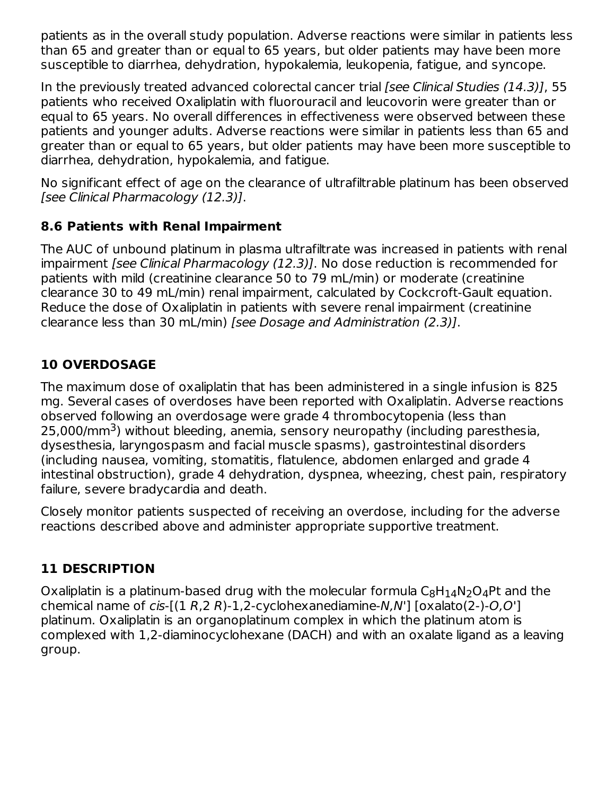patients as in the overall study population. Adverse reactions were similar in patients less than 65 and greater than or equal to 65 years, but older patients may have been more susceptible to diarrhea, dehydration, hypokalemia, leukopenia, fatigue, and syncope.

In the previously treated advanced colorectal cancer trial [see Clinical Studies (14.3)], 55 patients who received Oxaliplatin with fluorouracil and leucovorin were greater than or equal to 65 years. No overall differences in effectiveness were observed between these patients and younger adults. Adverse reactions were similar in patients less than 65 and greater than or equal to 65 years, but older patients may have been more susceptible to diarrhea, dehydration, hypokalemia, and fatigue.

No significant effect of age on the clearance of ultrafiltrable platinum has been observed [see Clinical Pharmacology (12.3)].

### **8.6 Patients with Renal Impairment**

The AUC of unbound platinum in plasma ultrafiltrate was increased in patients with renal impairment [see Clinical Pharmacology (12.3)]. No dose reduction is recommended for patients with mild (creatinine clearance 50 to 79 mL/min) or moderate (creatinine clearance 30 to 49 mL/min) renal impairment, calculated by Cockcroft-Gault equation. Reduce the dose of Oxaliplatin in patients with severe renal impairment (creatinine clearance less than 30 mL/min) [see Dosage and Administration (2.3)].

## **10 OVERDOSAGE**

The maximum dose of oxaliplatin that has been administered in a single infusion is 825 mg. Several cases of overdoses have been reported with Oxaliplatin. Adverse reactions observed following an overdosage were grade 4 thrombocytopenia (less than 25,000/mm<sup>3</sup>) without bleeding, anemia, sensory neuropathy (including paresthesia, dysesthesia, laryngospasm and facial muscle spasms), gastrointestinal disorders (including nausea, vomiting, stomatitis, flatulence, abdomen enlarged and grade 4 intestinal obstruction), grade 4 dehydration, dyspnea, wheezing, chest pain, respiratory failure, severe bradycardia and death.

Closely monitor patients suspected of receiving an overdose, including for the adverse reactions described above and administer appropriate supportive treatment.

## **11 DESCRIPTION**

Oxaliplatin is a platinum-based drug with the molecular formula  $\mathsf{C}_8\mathsf{H}_{14}\mathsf{N}_2\mathsf{O}_4$ Pt and the chemical name of cis- $[(1 R, 2 R)-1, 2-cyclohexanediamine-N,N']$   $[oxalato(2)-O,O']$ platinum. Oxaliplatin is an organoplatinum complex in which the platinum atom is complexed with 1,2-diaminocyclohexane (DACH) and with an oxalate ligand as a leaving group.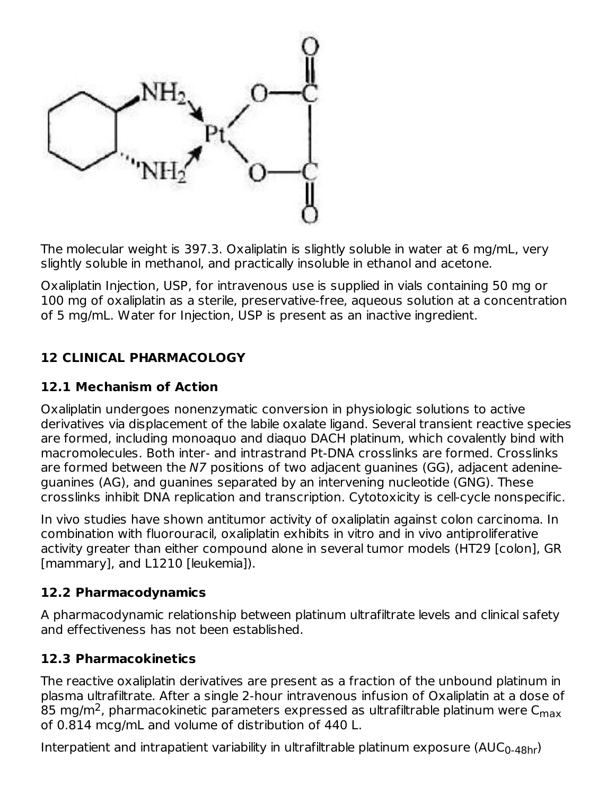

The molecular weight is 397.3. Oxaliplatin is slightly soluble in water at 6 mg/mL, very slightly soluble in methanol, and practically insoluble in ethanol and acetone.

Oxaliplatin Injection, USP, for intravenous use is supplied in vials containing 50 mg or 100 mg of oxaliplatin as a sterile, preservative-free, aqueous solution at a concentration of 5 mg/mL. Water for Injection, USP is present as an inactive ingredient.

## **12 CLINICAL PHARMACOLOGY**

#### **12.1 Mechanism of Action**

Oxaliplatin undergoes nonenzymatic conversion in physiologic solutions to active derivatives via displacement of the labile oxalate ligand. Several transient reactive species are formed, including monoaquo and diaquo DACH platinum, which covalently bind with macromolecules. Both inter- and intrastrand Pt-DNA crosslinks are formed. Crosslinks are formed between the N7 positions of two adjacent guanines (GG), adjacent adenineguanines (AG), and guanines separated by an intervening nucleotide (GNG). These crosslinks inhibit DNA replication and transcription. Cytotoxicity is cell-cycle nonspecific.

In vivo studies have shown antitumor activity of oxaliplatin against colon carcinoma. In combination with fluorouracil, oxaliplatin exhibits in vitro and in vivo antiproliferative activity greater than either compound alone in several tumor models (HT29 [colon], GR [mammary], and L1210 [leukemia]).

#### **12.2 Pharmacodynamics**

A pharmacodynamic relationship between platinum ultrafiltrate levels and clinical safety and effectiveness has not been established.

### **12.3 Pharmacokinetics**

The reactive oxaliplatin derivatives are present as a fraction of the unbound platinum in plasma ultrafiltrate. After a single 2-hour intravenous infusion of Oxaliplatin at a dose of 85 mg/m<sup>2</sup>, pharmacokinetic parameters expressed as ultrafiltrable platinum were C<sub>max</sub> of 0.814 mcg/mL and volume of distribution of 440 L.

Interpatient and intrapatient variability in ultrafiltrable platinum exposure (AUC $_{\rm 0\text{-}48hr}$ )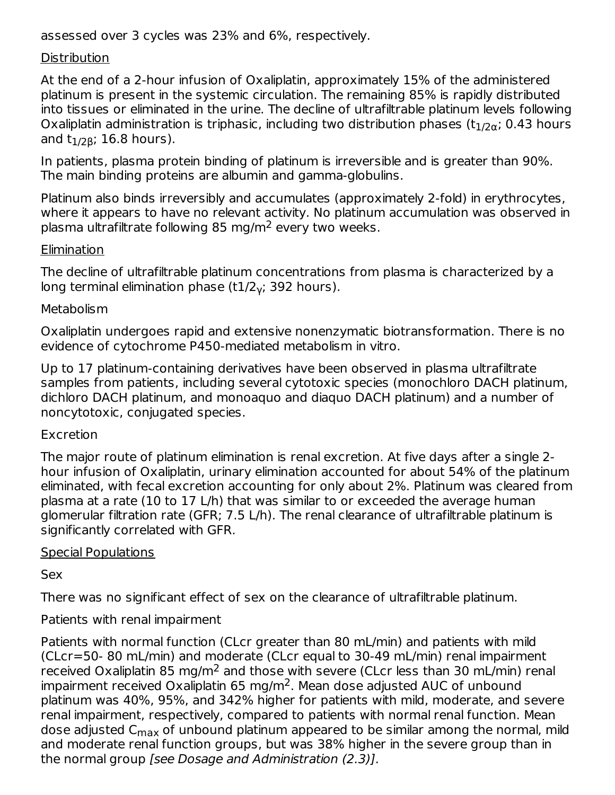assessed over 3 cycles was 23% and 6%, respectively.

#### **Distribution**

At the end of a 2-hour infusion of Oxaliplatin, approximately 15% of the administered platinum is present in the systemic circulation. The remaining 85% is rapidly distributed into tissues or eliminated in the urine. The decline of ultrafiltrable platinum levels following Oxaliplatin administration is triphasic, including two distribution phases (t $_{\rm 1/2\alpha}$ ; 0.43 hours and t<sub>1/2β</sub>; 16.8 hours).

0-48hr

In patients, plasma protein binding of platinum is irreversible and is greater than 90%. The main binding proteins are albumin and gamma-globulins.

Platinum also binds irreversibly and accumulates (approximately 2-fold) in erythrocytes, where it appears to have no relevant activity. No platinum accumulation was observed in plasma ultrafiltrate following 85 mg/m<sup>2</sup> every two weeks.

#### Elimination

The decline of ultrafiltrable platinum concentrations from plasma is characterized by a long terminal elimination phase (t $1/2_\gamma$ ; 392 hours).

#### **Metabolism**

Oxaliplatin undergoes rapid and extensive nonenzymatic biotransformation. There is no evidence of cytochrome P450-mediated metabolism in vitro.

Up to 17 platinum-containing derivatives have been observed in plasma ultrafiltrate samples from patients, including several cytotoxic species (monochloro DACH platinum, dichloro DACH platinum, and monoaquo and diaquo DACH platinum) and a number of noncytotoxic, conjugated species.

#### Excretion

The major route of platinum elimination is renal excretion. At five days after a single 2 hour infusion of Oxaliplatin, urinary elimination accounted for about 54% of the platinum eliminated, with fecal excretion accounting for only about 2%. Platinum was cleared from plasma at a rate (10 to 17 L/h) that was similar to or exceeded the average human glomerular filtration rate (GFR; 7.5 L/h). The renal clearance of ultrafiltrable platinum is significantly correlated with GFR.

#### Special Populations

Sex

There was no significant effect of sex on the clearance of ultrafiltrable platinum.

#### Patients with renal impairment

Patients with normal function (CLcr greater than 80 mL/min) and patients with mild (CLcr=50- 80 mL/min) and moderate (CLcr equal to 30-49 mL/min) renal impairment received Oxaliplatin 85 mg/m<sup>2</sup> and those with severe (CLcr less than 30 mL/min) renal impairment received Oxaliplatin 65 mg/m<sup>2</sup>. Mean dose adjusted AUC of unbound platinum was 40%, 95%, and 342% higher for patients with mild, moderate, and severe renal impairment, respectively, compared to patients with normal renal function. Mean dose adjusted C<sub>max</sub> of unbound platinum appeared to be similar among the normal, mild and moderate renal function groups, but was 38% higher in the severe group than in the normal group [see Dosage and Administration (2.3)].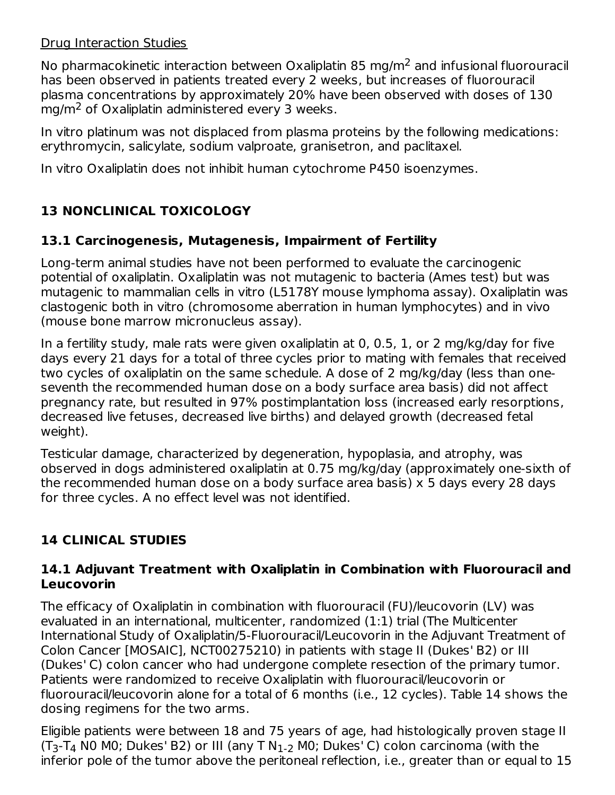#### Drug Interaction Studies

No pharmacokinetic interaction between Oxaliplatin 85 mg/m<sup>2</sup> and infusional fluorouracil has been observed in patients treated every 2 weeks, but increases of fluorouracil plasma concentrations by approximately 20% have been observed with doses of 130 mg/m<sup>2</sup> of Oxaliplatin administered every 3 weeks.

In vitro platinum was not displaced from plasma proteins by the following medications: erythromycin, salicylate, sodium valproate, granisetron, and paclitaxel.

In vitro Oxaliplatin does not inhibit human cytochrome P450 isoenzymes.

## **13 NONCLINICAL TOXICOLOGY**

## **13.1 Carcinogenesis, Mutagenesis, Impairment of Fertility**

Long-term animal studies have not been performed to evaluate the carcinogenic potential of oxaliplatin. Oxaliplatin was not mutagenic to bacteria (Ames test) but was mutagenic to mammalian cells in vitro (L5178Y mouse lymphoma assay). Oxaliplatin was clastogenic both in vitro (chromosome aberration in human lymphocytes) and in vivo (mouse bone marrow micronucleus assay).

In a fertility study, male rats were given oxaliplatin at 0, 0.5, 1, or 2 mg/kg/day for five days every 21 days for a total of three cycles prior to mating with females that received two cycles of oxaliplatin on the same schedule. A dose of 2 mg/kg/day (less than oneseventh the recommended human dose on a body surface area basis) did not affect pregnancy rate, but resulted in 97% postimplantation loss (increased early resorptions, decreased live fetuses, decreased live births) and delayed growth (decreased fetal weight).

Testicular damage, characterized by degeneration, hypoplasia, and atrophy, was observed in dogs administered oxaliplatin at 0.75 mg/kg/day (approximately one-sixth of the recommended human dose on a body surface area basis) x 5 days every 28 days for three cycles. A no effect level was not identified.

## **14 CLINICAL STUDIES**

#### **14.1 Adjuvant Treatment with Oxaliplatin in Combination with Fluorouracil and Leucovorin**

The efficacy of Oxaliplatin in combination with fluorouracil (FU)/leucovorin (LV) was evaluated in an international, multicenter, randomized (1:1) trial (The Multicenter International Study of Oxaliplatin/5-Fluorouracil/Leucovorin in the Adjuvant Treatment of Colon Cancer [MOSAIC], NCT00275210) in patients with stage II (Dukes' B2) or III (Dukes' C) colon cancer who had undergone complete resection of the primary tumor. Patients were randomized to receive Oxaliplatin with fluorouracil/leucovorin or fluorouracil/leucovorin alone for a total of 6 months (i.e., 12 cycles). Table 14 shows the dosing regimens for the two arms.

Eligible patients were between 18 and 75 years of age, had histologically proven stage II  $(T_3-T_4$  N0 M0; Dukes' B2) or III (any T N<sub>1-2</sub> M0; Dukes' C) colon carcinoma (with the inferior pole of the tumor above the peritoneal reflection, i.e., greater than or equal to 15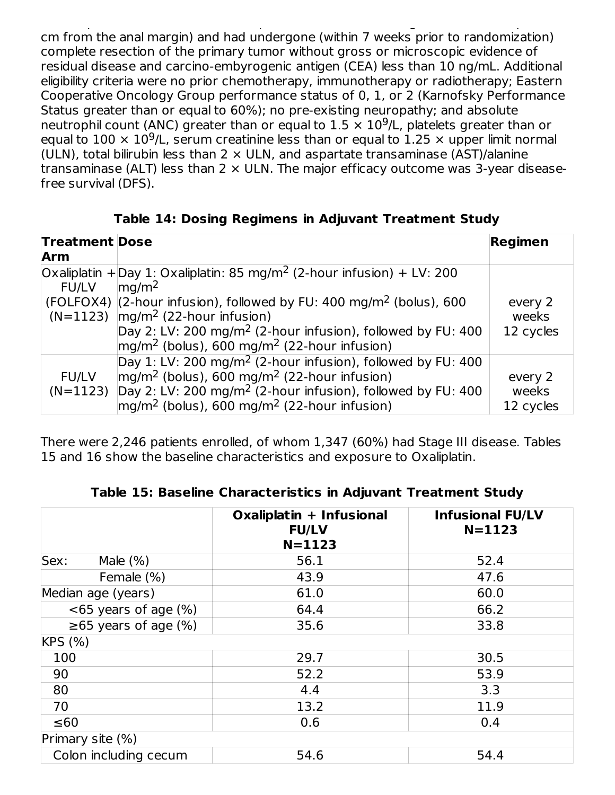inferior pole of the tumor above the peritoneal reflection, i.e., greater than or equal to 15 cm from the anal margin) and had undergone (within 7 weeks prior to randomization) complete resection of the primary tumor without gross or microscopic evidence of residual disease and carcino-embyrogenic antigen (CEA) less than 10 ng/mL. Additional eligibility criteria were no prior chemotherapy, immunotherapy or radiotherapy; Eastern Cooperative Oncology Group performance status of 0, 1, or 2 (Karnofsky Performance Status greater than or equal to 60%); no pre-existing neuropathy; and absolute neutrophil count (ANC) greater than or equal to  $1.5 \times 10^9$ /L, platelets greater than or equal to  $100 \times 10^9$ /L, serum creatinine less than or equal to  $1.25 \times$  upper limit normal (ULN), total bilirubin less than  $2 \times$  ULN, and aspartate transaminase (AST)/alanine transaminase (ALT) less than  $2 \times$  ULN. The major efficacy outcome was 3-year diseasefree survival (DFS).

**Table 14: Dosing Regimens in Adjuvant Treatment Study**

| <b>Treatment Dose</b>      |                                                                                                                                                                                                                                                                              | <b>Regimen</b>                |
|----------------------------|------------------------------------------------------------------------------------------------------------------------------------------------------------------------------------------------------------------------------------------------------------------------------|-------------------------------|
| <b>Arm</b>                 |                                                                                                                                                                                                                                                                              |                               |
| <b>FU/LV</b>               | $Ox$ aliplatin + Day 1: Oxaliplatin: 85 mg/m <sup>2</sup> (2-hour infusion) + LV: 200<br>mg/m <sup>2</sup>                                                                                                                                                                   |                               |
| $(N=1123)$                 | (FOLFOX4) $(2$ -hour infusion), followed by FU: 400 mg/m <sup>2</sup> (bolus), 600<br>$mg/m2$ (22-hour infusion)<br>Day 2: LV: 200 mg/m <sup>2</sup> (2-hour infusion), followed by FU: 400<br>$mg/m2$ (bolus), 600 mg/m <sup>2</sup> (22-hour infusion)                     | every 2<br>weeks<br>12 cycles |
| <b>FU/LV</b><br>$(N=1123)$ | Day 1: LV: 200 mg/m <sup>2</sup> (2-hour infusion), followed by FU: 400<br>$mg/m2$ (bolus), 600 mg/m <sup>2</sup> (22-hour infusion)<br>Day 2: LV: 200 mg/m <sup>2</sup> (2-hour infusion), followed by FU: 400<br>$mg/m2$ (bolus), 600 mg/m <sup>2</sup> (22-hour infusion) | every 2<br>weeks<br>12 cycles |

There were 2,246 patients enrolled, of whom 1,347 (60%) had Stage III disease. Tables 15 and 16 show the baseline characteristics and exposure to Oxaliplatin.

|                            | Oxaliplatin + Infusional<br><b>FU/LV</b><br>$N = 1123$ | <b>Infusional FU/LV</b><br>$N = 1123$ |
|----------------------------|--------------------------------------------------------|---------------------------------------|
| Male $(\%)$<br>Sex:        | 56.1                                                   | 52.4                                  |
| Female (%)                 | 43.9                                                   | 47.6                                  |
| Median age (years)         | 61.0                                                   | 60.0                                  |
| $<65$ years of age $(\%)$  | 64.4                                                   | 66.2                                  |
| $\geq 65$ years of age (%) | 35.6                                                   | 33.8                                  |
| KPS (%)                    |                                                        |                                       |
| 100                        | 29.7                                                   | 30.5                                  |
| 90                         | 52.2                                                   | 53.9                                  |
| 80                         | 4.4                                                    | 3.3                                   |
| 70                         | 13.2                                                   | 11.9                                  |
| ≤60                        | 0.6                                                    | 0.4                                   |
| Primary site $(\%)$        |                                                        |                                       |
| Colon including cecum      | 54.6                                                   | 54.4                                  |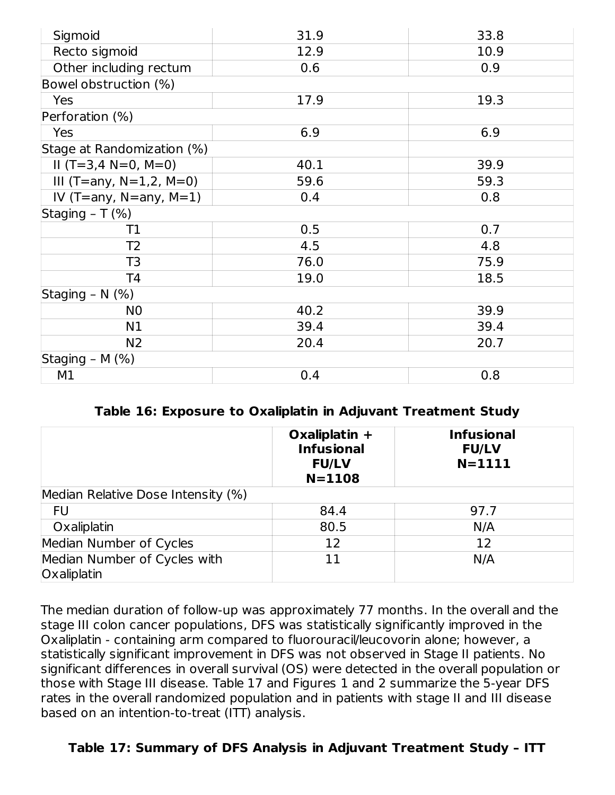| Sigmoid                       | 31.9 | 33.8 |
|-------------------------------|------|------|
| Recto sigmoid                 | 12.9 | 10.9 |
| Other including rectum        | 0.6  | 0.9  |
| Bowel obstruction (%)         |      |      |
| Yes                           | 17.9 | 19.3 |
| Perforation (%)               |      |      |
| Yes                           | 6.9  | 6.9  |
| Stage at Randomization (%)    |      |      |
| $II$ (T=3,4 N=0, M=0)         | 40.1 | 39.9 |
| III (T=any, $N=1,2$ , $M=0$ ) | 59.6 | 59.3 |
| IV (T=any, $N=$ any, $M=1$ )  | 0.4  | 0.8  |
| Staging $- T$ (%)             |      |      |
| Τ1                            | 0.5  | 0.7  |
| T <sub>2</sub>                | 4.5  | 4.8  |
| T <sub>3</sub>                | 76.0 | 75.9 |
| T4                            | 19.0 | 18.5 |
| Staging - N (%)               |      |      |
| N <sub>0</sub>                | 40.2 | 39.9 |
| N1                            | 39.4 | 39.4 |
| N <sub>2</sub>                | 20.4 | 20.7 |
| Staging - M (%)               |      |      |
| M1                            | 0.4  | 0.8  |

#### **Table 16: Exposure to Oxaliplatin in Adjuvant Treatment Study**

|                                             | Oxaliplatin $+$<br><b>Infusional</b><br><b>FU/LV</b><br>$N = 1108$ | <b>Infusional</b><br><b>FU/LV</b><br>$N = 1111$ |
|---------------------------------------------|--------------------------------------------------------------------|-------------------------------------------------|
| Median Relative Dose Intensity (%)          |                                                                    |                                                 |
| FU                                          | 84.4                                                               | 97.7                                            |
| Oxaliplatin                                 | 80.5                                                               | N/A                                             |
| Median Number of Cycles                     | 12                                                                 | 12                                              |
| Median Number of Cycles with<br>Oxaliplatin | 11                                                                 | N/A                                             |

The median duration of follow-up was approximately 77 months. In the overall and the stage III colon cancer populations, DFS was statistically significantly improved in the Oxaliplatin - containing arm compared to fluorouracil/leucovorin alone; however, a statistically significant improvement in DFS was not observed in Stage II patients. No significant differences in overall survival (OS) were detected in the overall population or those with Stage III disease. Table 17 and Figures 1 and 2 summarize the 5-year DFS rates in the overall randomized population and in patients with stage II and III disease based on an intention-to-treat (ITT) analysis.

#### **Table 17: Summary of DFS Analysis in Adjuvant Treatment Study – ITT**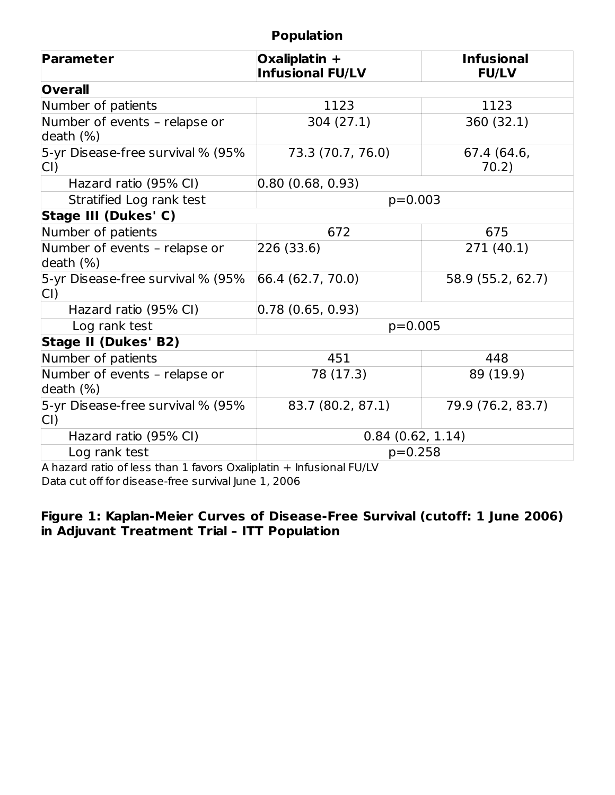#### **Population**

| Parameter                                     | Oxaliplatin +<br><b>Infusional FU/LV</b> | <b>Infusional</b><br><b>FU/LV</b> |  |
|-----------------------------------------------|------------------------------------------|-----------------------------------|--|
| <b>Overall</b>                                |                                          |                                   |  |
| Number of patients                            | 1123                                     | 1123                              |  |
| Number of events - relapse or<br>death $(\%)$ | 304 (27.1)                               | 360 (32.1)                        |  |
| 5-yr Disease-free survival % (95%<br>CI)      | 73.3 (70.7, 76.0)                        | 67.4 (64.6,<br>70.2)              |  |
| Hazard ratio (95% CI)                         | 0.80(0.68, 0.93)                         |                                   |  |
| Stratified Log rank test                      | $p=0.003$                                |                                   |  |
| Stage III (Dukes' C)                          |                                          |                                   |  |
| Number of patients                            | 672                                      | 675                               |  |
| Number of events - relapse or<br>death $(\%)$ | 226 (33.6)                               | 271 (40.1)                        |  |
| 5-yr Disease-free survival % (95%<br>CI)      | 66.4 (62.7, 70.0)                        | 58.9 (55.2, 62.7)                 |  |
| Hazard ratio (95% CI)                         | 0.78(0.65, 0.93)                         |                                   |  |
| Log rank test                                 | $p=0.005$                                |                                   |  |
| <b>Stage II (Dukes' B2)</b>                   |                                          |                                   |  |
| Number of patients                            | 451                                      | 448                               |  |
| Number of events - relapse or<br>death (%)    | 78 (17.3)                                | 89 (19.9)                         |  |
| 5-yr Disease-free survival % (95%<br>CI)      | 83.7 (80.2, 87.1)                        | 79.9 (76.2, 83.7)                 |  |
| Hazard ratio (95% CI)                         | 0.84(0.62, 1.14)                         |                                   |  |
| Log rank test                                 | $p=0.258$                                |                                   |  |

A hazard ratio of less than 1 favors Oxaliplatin + Infusional FU/LV Data cut off for disease-free survival June 1, 2006

#### **Figure 1: Kaplan-Meier Curves of Disease-Free Survival (cutoff: 1 June 2006) in Adjuvant Treatment Trial – ITT Population**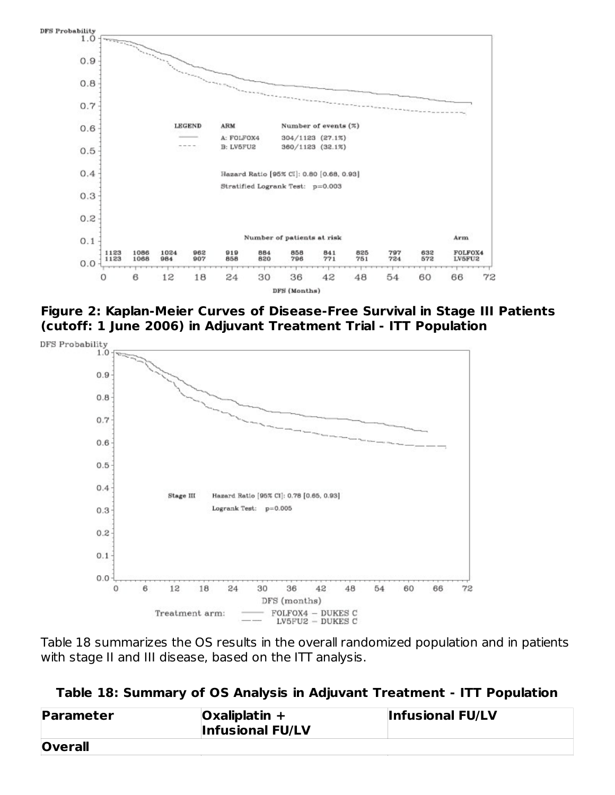

**Figure 2: Kaplan-Meier Curves of Disease-Free Survival in Stage III Patients (cutoff: 1 June 2006) in Adjuvant Treatment Trial - ITT Population**



Table 18 summarizes the OS results in the overall randomized population and in patients with stage II and III disease, based on the ITT analysis.

|  |  |  | Table 18: Summary of OS Analysis in Adjuvant Treatment - ITT Population |  |
|--|--|--|-------------------------------------------------------------------------|--|
|--|--|--|-------------------------------------------------------------------------|--|

| Parameter      | $Oxaliplatin +$<br><b>Infusional FU/LV</b> | <b>Infusional FU/LV</b> |
|----------------|--------------------------------------------|-------------------------|
| <b>Overall</b> |                                            |                         |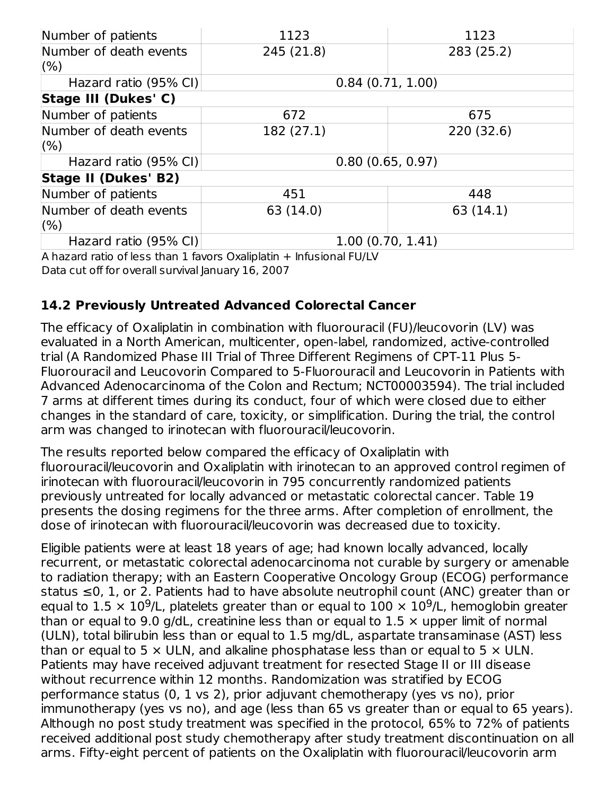| Number of patients          | 1123             | 1123       |
|-----------------------------|------------------|------------|
| Number of death events      | 245 (21.8)       | 283 (25.2) |
| (% )                        |                  |            |
| Hazard ratio (95% CI)       | 0.84(0.71, 1.00) |            |
| Stage III (Dukes' C)        |                  |            |
| Number of patients          | 672              | 675        |
| Number of death events      | 182 (27.1)       | 220 (32.6) |
| (% )                        |                  |            |
| Hazard ratio (95% CI)       | 0.80(0.65, 0.97) |            |
| <b>Stage II (Dukes' B2)</b> |                  |            |
| Number of patients          | 451              | 448        |
| Number of death events      | 63 (14.0)        | 63(14.1)   |
| (% )                        |                  |            |
| Hazard ratio (95% CI)       | 1.00(0.70, 1.41) |            |

A hazard ratio of less than 1 favors Oxaliplatin + Infusional FU/LV Data cut off for overall survival January 16, 2007

## **14.2 Previously Untreated Advanced Colorectal Cancer**

The efficacy of Oxaliplatin in combination with fluorouracil (FU)/leucovorin (LV) was evaluated in a North American, multicenter, open-label, randomized, active-controlled trial (A Randomized Phase III Trial of Three Different Regimens of CPT-11 Plus 5- Fluorouracil and Leucovorin Compared to 5-Fluorouracil and Leucovorin in Patients with Advanced Adenocarcinoma of the Colon and Rectum; NCT00003594). The trial included 7 arms at different times during its conduct, four of which were closed due to either changes in the standard of care, toxicity, or simplification. During the trial, the control arm was changed to irinotecan with fluorouracil/leucovorin.

The results reported below compared the efficacy of Oxaliplatin with fluorouracil/leucovorin and Oxaliplatin with irinotecan to an approved control regimen of irinotecan with fluorouracil/leucovorin in 795 concurrently randomized patients previously untreated for locally advanced or metastatic colorectal cancer. Table 19 presents the dosing regimens for the three arms. After completion of enrollment, the dose of irinotecan with fluorouracil/leucovorin was decreased due to toxicity.

Eligible patients were at least 18 years of age; had known locally advanced, locally recurrent, or metastatic colorectal adenocarcinoma not curable by surgery or amenable to radiation therapy; with an Eastern Cooperative Oncology Group (ECOG) performance status ≤0, 1, or 2. Patients had to have absolute neutrophil count (ANC) greater than or equal to 1.5  $\times$  10<sup>9</sup>/L, platelets greater than or equal to 100  $\times$  10<sup>9</sup>/L, hemoglobin greater than or equal to 9.0 g/dL, creatinine less than or equal to 1.5  $\times$  upper limit of normal (ULN), total bilirubin less than or equal to 1.5 mg/dL, aspartate transaminase (AST) less than or equal to 5  $\times$  ULN, and alkaline phosphatase less than or equal to 5  $\times$  ULN. Patients may have received adjuvant treatment for resected Stage II or III disease without recurrence within 12 months. Randomization was stratified by ECOG performance status (0, 1 vs 2), prior adjuvant chemotherapy (yes vs no), prior immunotherapy (yes vs no), and age (less than 65 vs greater than or equal to 65 years). Although no post study treatment was specified in the protocol, 65% to 72% of patients received additional post study chemotherapy after study treatment discontinuation on all arms. Fifty-eight percent of patients on the Oxaliplatin with fluorouracil/leucovorin arm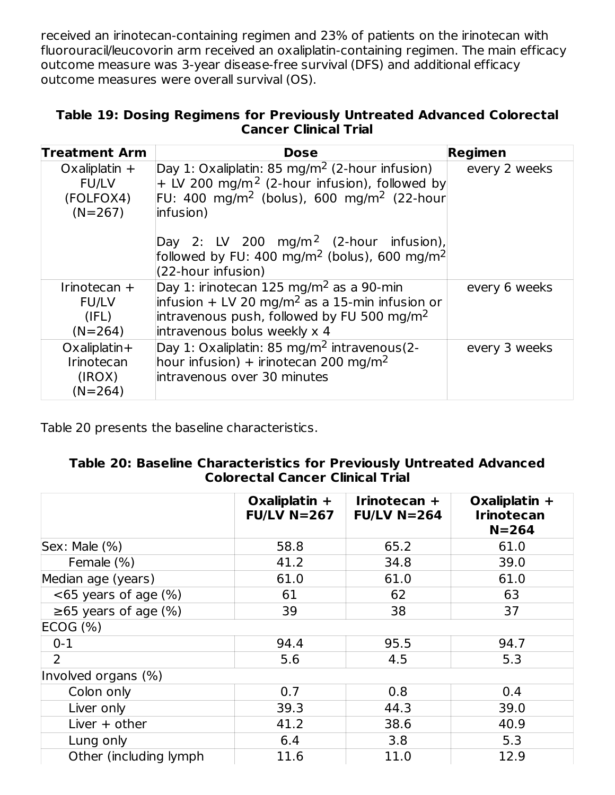received an irinotecan-containing regimen and 23% of patients on the irinotecan with fluorouracil/leucovorin arm received an oxaliplatin-containing regimen. The main efficacy outcome measure was 3-year disease-free survival (DFS) and additional efficacy outcome measures were overall survival (OS).

#### **Table 19: Dosing Regimens for Previously Untreated Advanced Colorectal Cancer Clinical Trial**

| <b>Treatment Arm</b>                                      | <b>Dose</b>                                                                                                                                                                                                 | Regimen       |
|-----------------------------------------------------------|-------------------------------------------------------------------------------------------------------------------------------------------------------------------------------------------------------------|---------------|
| Oxaliplatin $+$<br><b>FU/LV</b><br>(FOLFOX4)<br>$(N=267)$ | Day 1: Oxaliplatin: 85 mg/m <sup>2</sup> (2-hour infusion)<br>$+$ LV 200 mg/m <sup>2</sup> (2-hour infusion), followed by<br>FU: 400 mg/m <sup>2</sup> (bolus), 600 mg/m <sup>2</sup> (22-hour<br>infusion) | every 2 weeks |
|                                                           | Day 2: LV 200 $mg/m^2$ (2-hour infusion),<br> followed by FU: 400 mg/m <sup>2</sup> (bolus), 600 mg/m <sup>2</sup>  <br>$(22$ -hour infusion)                                                               |               |
| Irinotecan $+$<br><b>FU/LV</b><br>(IFL)<br>$(N=264)$      | Day 1: irinotecan 125 mg/m <sup>2</sup> as a 90-min<br>infusion + LV 20 mg/m <sup>2</sup> as a 15-min infusion or<br>intravenous push, followed by FU 500 mg/m <sup>2</sup><br>intravenous bolus weekly x 4 | every 6 weeks |
| $Ox$ aliplatin+<br>Irinotecan<br>(IROX)<br>$(N=264)$      | Day 1: Oxaliplatin: 85 mg/m <sup>2</sup> intravenous(2-<br>hour infusion) + irinotecan 200 mg/m <sup>2</sup><br>intravenous over 30 minutes                                                                 | every 3 weeks |

Table 20 presents the baseline characteristics.

|                            | Oxaliplatin +<br>$FU/LV$ N=267 | Irinotecan +<br>$FU/LV$ N=264 | Oxaliplatin +<br><b>Irinotecan</b><br>$N = 264$ |
|----------------------------|--------------------------------|-------------------------------|-------------------------------------------------|
| Sex: Male (%)              | 58.8                           | 65.2                          | 61.0                                            |
| Female (%)                 | 41.2                           | 34.8                          | 39.0                                            |
| Median age (years)         | 61.0                           | 61.0                          | 61.0                                            |
| $<65$ years of age $(\%)$  | 61                             | 62                            | 63                                              |
| $\geq 65$ years of age (%) | 39                             | 38                            | 37                                              |
| ECOG (%)                   |                                |                               |                                                 |
| $0 - 1$                    | 94.4                           | 95.5                          | 94.7                                            |
| 2                          | 5.6                            | 4.5                           | 5.3                                             |
| Involved organs (%)        |                                |                               |                                                 |
| Colon only                 | 0.7                            | 0.8                           | 0.4                                             |
| Liver only                 | 39.3                           | 44.3                          | 39.0                                            |
| Liver $+$ other            | 41.2                           | 38.6                          | 40.9                                            |
| Lung only                  | 6.4                            | 3.8                           | 5.3                                             |
| Other (including lymph     | 11.6                           | 11.0                          | 12.9                                            |

#### **Table 20: Baseline Characteristics for Previously Untreated Advanced Colorectal Cancer Clinical Trial**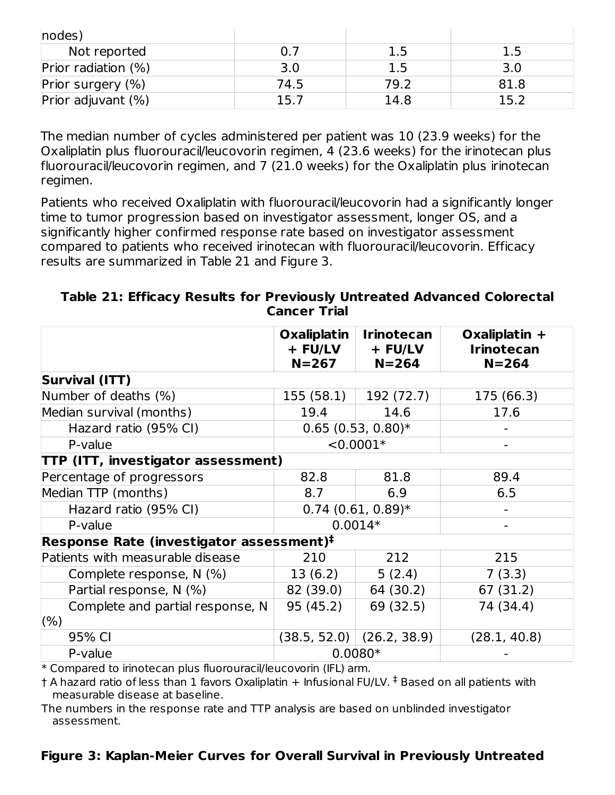| nodes               |      |      |      |
|---------------------|------|------|------|
| Not reported        |      | 1.5  | 1.5  |
| Prior radiation (%) | 3.0  | 1.5  |      |
| Prior surgery (%)   | 74.5 | 79.2 | 81.8 |
| Prior adjuvant (%)  | 15.7 | 14.8 | 15.2 |

The median number of cycles administered per patient was 10 (23.9 weeks) for the Oxaliplatin plus fluorouracil/leucovorin regimen, 4 (23.6 weeks) for the irinotecan plus fluorouracil/leucovorin regimen, and 7 (21.0 weeks) for the Oxaliplatin plus irinotecan regimen.

Patients who received Oxaliplatin with fluorouracil/leucovorin had a significantly longer time to tumor progression based on investigator assessment, longer OS, and a significantly higher confirmed response rate based on investigator assessment compared to patients who received irinotecan with fluorouracil/leucovorin. Efficacy results are summarized in Table 21 and Figure 3.

#### **Table 21: Efficacy Results for Previously Untreated Advanced Colorectal Cancer Trial**

|                                                     | <b>Oxaliplatin</b><br>+ FU/LV<br>$N = 267$ | <b>Irinotecan</b><br>+ FU/LV<br>$N = 264$ | Oxaliplatin $+$<br><b>Irinotecan</b><br>$N = 264$ |
|-----------------------------------------------------|--------------------------------------------|-------------------------------------------|---------------------------------------------------|
| <b>Survival (ITT)</b>                               |                                            |                                           |                                                   |
| Number of deaths (%)                                | 155 (58.1)                                 | 192 (72.7)                                | 175 (66.3)                                        |
| Median survival (months)                            | 19.4                                       | 14.6                                      | 17.6                                              |
| Hazard ratio (95% CI)                               |                                            | $0.65$ (0.53, 0.80)*                      |                                                   |
| P-value                                             |                                            | $< 0.0001*$                               |                                                   |
| TTP (ITT, investigator assessment)                  |                                            |                                           |                                                   |
| Percentage of progressors                           | 82.8                                       | 81.8                                      | 89.4                                              |
| Median TTP (months)                                 | 8.7                                        | 6.9                                       | 6.5                                               |
| Hazard ratio (95% CI)                               | $0.74$ (0.61, 0.89)*                       |                                           |                                                   |
| P-value                                             |                                            | $0.0014*$                                 |                                                   |
| $\,$ Response Rate (investigator assessment) $\,$ i |                                            |                                           |                                                   |
| Patients with measurable disease                    | 210                                        | 212                                       | 215                                               |
| Complete response, N (%)                            | 13(6.2)                                    | 5(2.4)                                    | 7(3.3)                                            |
| Partial response, N (%)                             | 82 (39.0)                                  | 64 (30.2)                                 | 67 (31.2)                                         |
| Complete and partial response, N                    | 95 (45.2)                                  | 69 (32.5)                                 | 74 (34.4)                                         |
| $(\% )$                                             |                                            |                                           |                                                   |
| 95% CI                                              | (38.5, 52.0)                               | (26.2, 38.9)                              | (28.1, 40.8)                                      |
| P-value                                             | $0.0080*$                                  |                                           |                                                   |

\* Compared to irinotecan plus fluorouracil/leucovorin (IFL) arm.

† A hazard ratio of less than 1 favors Oxaliplatin + Infusional FU/LV.  $^\ddag$  Based on all patients with measurable disease at baseline.

The numbers in the response rate and TTP analysis are based on unblinded investigator assessment.

#### **Figure 3: Kaplan-Meier Curves for Overall Survival in Previously Untreated**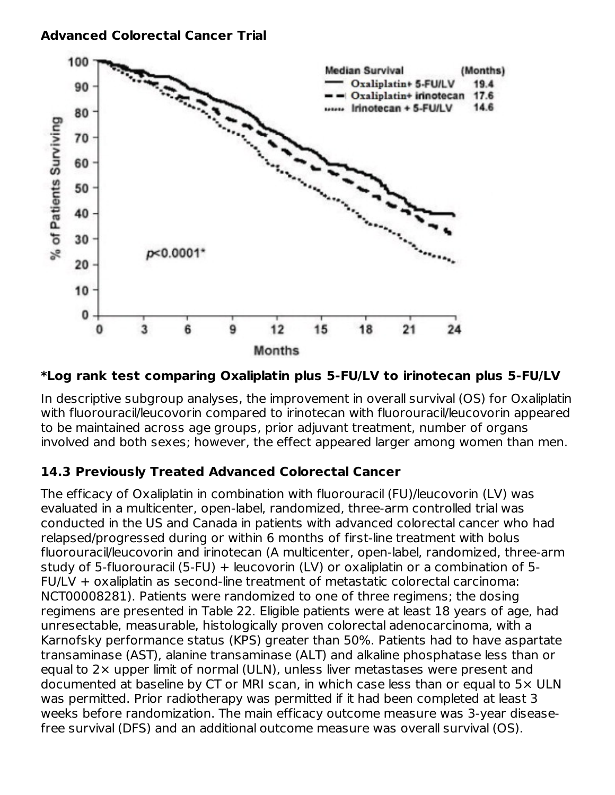

**\*Log rank test comparing Oxaliplatin plus 5-FU/LV to irinotecan plus 5-FU/LV**

In descriptive subgroup analyses, the improvement in overall survival (OS) for Oxaliplatin with fluorouracil/leucovorin compared to irinotecan with fluorouracil/leucovorin appeared to be maintained across age groups, prior adjuvant treatment, number of organs involved and both sexes; however, the effect appeared larger among women than men.

## **14.3 Previously Treated Advanced Colorectal Cancer**

The efficacy of Oxaliplatin in combination with fluorouracil (FU)/leucovorin (LV) was evaluated in a multicenter, open-label, randomized, three-arm controlled trial was conducted in the US and Canada in patients with advanced colorectal cancer who had relapsed/progressed during or within 6 months of first-line treatment with bolus fluorouracil/leucovorin and irinotecan (A multicenter, open-label, randomized, three-arm study of 5-fluorouracil (5-FU) + leucovorin (LV) or oxaliplatin or a combination of 5- FU/LV + oxaliplatin as second-line treatment of metastatic colorectal carcinoma: NCT00008281). Patients were randomized to one of three regimens; the dosing regimens are presented in Table 22. Eligible patients were at least 18 years of age, had unresectable, measurable, histologically proven colorectal adenocarcinoma, with a Karnofsky performance status (KPS) greater than 50%. Patients had to have aspartate transaminase (AST), alanine transaminase (ALT) and alkaline phosphatase less than or equal to 2× upper limit of normal (ULN), unless liver metastases were present and documented at baseline by CT or MRI scan, in which case less than or equal to 5× ULN was permitted. Prior radiotherapy was permitted if it had been completed at least 3 weeks before randomization. The main efficacy outcome measure was 3-year diseasefree survival (DFS) and an additional outcome measure was overall survival (OS).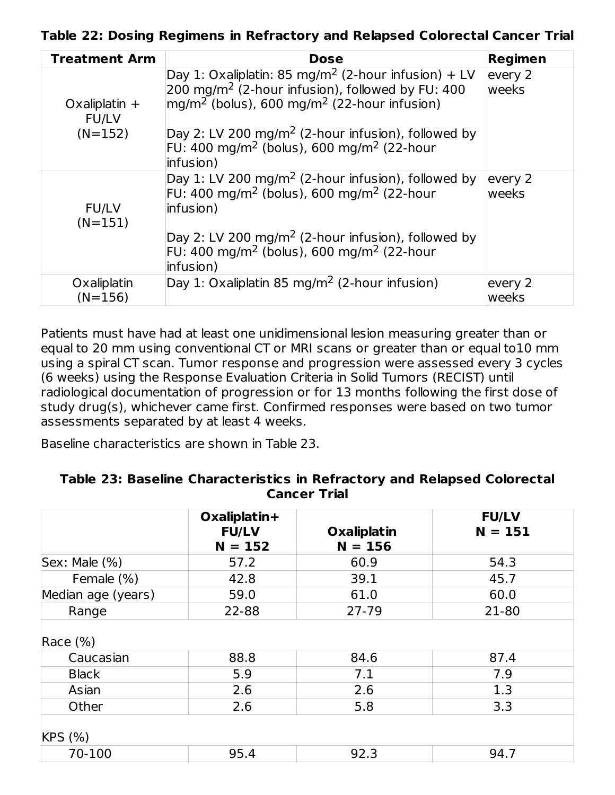**Table 22: Dosing Regimens in Refractory and Relapsed Colorectal Cancer Trial**

| <b>Treatment Arm</b>            | <b>Dose</b>                                                                                                                                                                                  | Regimen                 |
|---------------------------------|----------------------------------------------------------------------------------------------------------------------------------------------------------------------------------------------|-------------------------|
| Oxaliplatin $+$<br><b>FU/LV</b> | Day 1: Oxaliplatin: 85 mg/m <sup>2</sup> (2-hour infusion) + LV<br>200 mg/m <sup>2</sup> (2-hour infusion), followed by FU: 400<br>$mg/m2$ (bolus), 600 mg/m <sup>2</sup> (22-hour infusion) | every 2<br>weeks        |
| $(N=152)$                       | $\Delta$ Day 2: LV 200 mg/m <sup>2</sup> (2-hour infusion), followed by<br>FU: 400 mg/m <sup>2</sup> (bolus), 600 mg/m <sup>2</sup> (22-hour<br>linfusion)                                   |                         |
| <b>FU/LV</b><br>$(N=151)$       | Day 1: LV 200 mg/m <sup>2</sup> (2-hour infusion), followed by<br>FU: 400 mg/m <sup>2</sup> (bolus), 600 mg/m <sup>2</sup> (22-hour<br>linfusion)                                            | every 2<br>weeks        |
|                                 | Day 2: LV 200 mg/m <sup>2</sup> (2-hour infusion), followed by<br>FU: 400 mg/m <sup>2</sup> (bolus), 600 mg/m <sup>2</sup> (22-hour<br>infusion)                                             |                         |
| Oxaliplatin<br>$(N=156)$        | Day 1: Oxaliplatin 85 mg/m <sup>2</sup> (2-hour infusion)                                                                                                                                    | every 2<br><b>weeks</b> |

Patients must have had at least one unidimensional lesion measuring greater than or equal to 20 mm using conventional CT or MRI scans or greater than or equal to10 mm using a spiral CT scan. Tumor response and progression were assessed every 3 cycles (6 weeks) using the Response Evaluation Criteria in Solid Tumors (RECIST) until radiological documentation of progression or for 13 months following the first dose of study drug(s), whichever came first. Confirmed responses were based on two tumor assessments separated by at least 4 weeks.

Baseline characteristics are shown in Table 23.

| Table 23: Baseline Characteristics in Refractory and Relapsed Colorectal |
|--------------------------------------------------------------------------|
| <b>Cancer Trial</b>                                                      |
|                                                                          |

|                          | Oxaliplatin+<br><b>FU/LV</b><br>$N = 152$ | <b>Oxaliplatin</b><br>$N = 156$ | <b>FU/LV</b><br>$N = 151$ |
|--------------------------|-------------------------------------------|---------------------------------|---------------------------|
| Sex: Male (%)            | 57.2                                      | 60.9                            | 54.3                      |
| Female (%)               | 42.8                                      | 39.1                            | 45.7                      |
| Median age (years)       | 59.0                                      | 61.0                            | 60.0                      |
| Range                    | 22-88                                     | 27-79                           | 21-80                     |
| Race $(\%)$<br>Caucasian | 88.8                                      | 84.6                            | 87.4                      |
| <b>Black</b>             | 5.9                                       | 7.1                             | 7.9                       |
| Asian                    | 2.6                                       | 2.6                             | 1.3                       |
| Other                    | 2.6                                       | 5.8                             | 3.3                       |
| KPS (%)                  |                                           |                                 |                           |
| 70-100                   | 95.4                                      | 92.3                            | 94.7                      |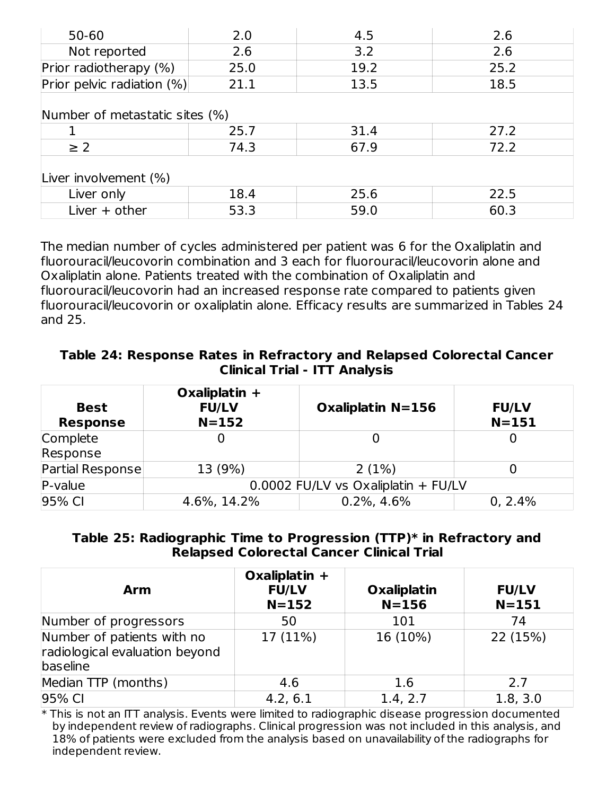| $50 - 60$                      | 2.0  | 4.5  | 2.6  |  |  |
|--------------------------------|------|------|------|--|--|
| Not reported                   | 2.6  | 3.2  | 2.6  |  |  |
| Prior radiotherapy (%)         | 25.0 | 19.2 | 25.2 |  |  |
| Prior pelvic radiation (%)     | 21.1 | 13.5 | 18.5 |  |  |
| Number of metastatic sites (%) |      |      |      |  |  |
|                                | 25.7 | 31.4 | 27.2 |  |  |
| $\geq$ 2                       | 74.3 | 67.9 | 72.2 |  |  |
| Liver involvement (%)          |      |      |      |  |  |
| Liver only                     | 18.4 | 25.6 | 22.5 |  |  |
| Liver $+$ other                | 53.3 | 59.0 | 60.3 |  |  |

The median number of cycles administered per patient was 6 for the Oxaliplatin and fluorouracil/leucovorin combination and 3 each for fluorouracil/leucovorin alone and Oxaliplatin alone. Patients treated with the combination of Oxaliplatin and fluorouracil/leucovorin had an increased response rate compared to patients given fluorouracil/leucovorin or oxaliplatin alone. Efficacy results are summarized in Tables 24 and 25.

#### **Table 24: Response Rates in Refractory and Relapsed Colorectal Cancer Clinical Trial - ITT Analysis**

| <b>Best</b><br><b>Response</b> | Oxaliplatin $+$<br><b>FU/LV</b><br>$N = 152$ | <b>Oxaliplatin N=156</b> | <b>FU/LV</b><br>$N = 151$ |
|--------------------------------|----------------------------------------------|--------------------------|---------------------------|
| Complete<br>Response           |                                              |                          |                           |
| Partial Response               | 13 (9%)                                      | 2(1%)                    |                           |
| P-value                        | 0.0002 FU/LV vs Oxaliplatin + FU/LV          |                          |                           |
| 95% CI                         | 4.6%, 14.2%                                  | $0.2\%$ , 4.6%           | 0, 2.4%                   |

#### **Table 25: Radiographic Time to Progression (TTP)\* in Refractory and Relapsed Colorectal Cancer Clinical Trial**

| <b>Arm</b>                                                               | Oxaliplatin $+$<br><b>FU/LV</b><br>$N = 152$ | <b>Oxaliplatin</b><br>$N = 156$ | <b>FU/LV</b><br>$N = 151$ |
|--------------------------------------------------------------------------|----------------------------------------------|---------------------------------|---------------------------|
| Number of progressors                                                    | 50                                           | 101                             | 74                        |
| Number of patients with no<br>radiological evaluation beyond<br>baseline | 17 (11%)                                     | 16 (10%)                        | 22 (15%)                  |
| Median TTP (months)                                                      | 4.6                                          | 1.6                             | 2.7                       |
| 95% CI                                                                   | 4.2, 6.1                                     | 1.4, 2.7                        | 1.8, 3.0                  |

\* This is not an ITT analysis. Events were limited to radiographic disease progression documented by independent review of radiographs. Clinical progression was not included in this analysis, and 18% of patients were excluded from the analysis based on unavailability of the radiographs for independent review.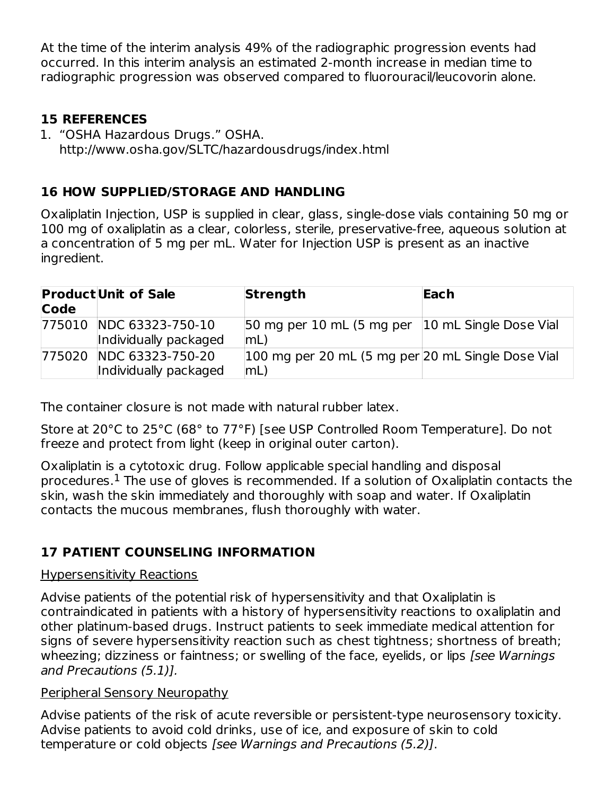At the time of the interim analysis 49% of the radiographic progression events had occurred. In this interim analysis an estimated 2-month increase in median time to radiographic progression was observed compared to fluorouracil/leucovorin alone.

#### **15 REFERENCES**

1. "OSHA Hazardous Drugs." OSHA. http://www.osha.gov/SLTC/hazardousdrugs/index.html

## **16 HOW SUPPLIED/STORAGE AND HANDLING**

Oxaliplatin Injection, USP is supplied in clear, glass, single-dose vials containing 50 mg or 100 mg of oxaliplatin as a clear, colorless, sterile, preservative-free, aqueous solution at a concentration of 5 mg per mL. Water for Injection USP is present as an inactive ingredient.

| Code | <b>Product Unit of Sale</b>                      | <b>Strength</b>                                         | Each |
|------|--------------------------------------------------|---------------------------------------------------------|------|
|      | 775010 NDC 63323-750-10<br>Individually packaged | 50 mg per 10 mL (5 mg per 10 mL Single Dose Vial<br> mL |      |
|      | 775020 NDC 63323-750-20<br>Individually packaged | 100 mg per 20 mL (5 mg per 20 mL Single Dose Vial<br>mL |      |

The container closure is not made with natural rubber latex.

Store at 20°C to 25°C (68° to 77°F) [see USP Controlled Room Temperature]. Do not freeze and protect from light (keep in original outer carton).

Oxaliplatin is a cytotoxic drug. Follow applicable special handling and disposal procedures. $^{\rm 1}$  The use of gloves is recommended. If a solution of Oxaliplatin contacts the skin, wash the skin immediately and thoroughly with soap and water. If Oxaliplatin contacts the mucous membranes, flush thoroughly with water.

## **17 PATIENT COUNSELING INFORMATION**

#### Hypersensitivity Reactions

Advise patients of the potential risk of hypersensitivity and that Oxaliplatin is contraindicated in patients with a history of hypersensitivity reactions to oxaliplatin and other platinum-based drugs. Instruct patients to seek immediate medical attention for signs of severe hypersensitivity reaction such as chest tightness; shortness of breath; wheezing; dizziness or faintness; or swelling of the face, eyelids, or lips [see Warnings] and Precautions (5.1)].

### Peripheral Sensory Neuropathy

Advise patients of the risk of acute reversible or persistent-type neurosensory toxicity. Advise patients to avoid cold drinks, use of ice, and exposure of skin to cold temperature or cold objects [see Warnings and Precautions (5.2)].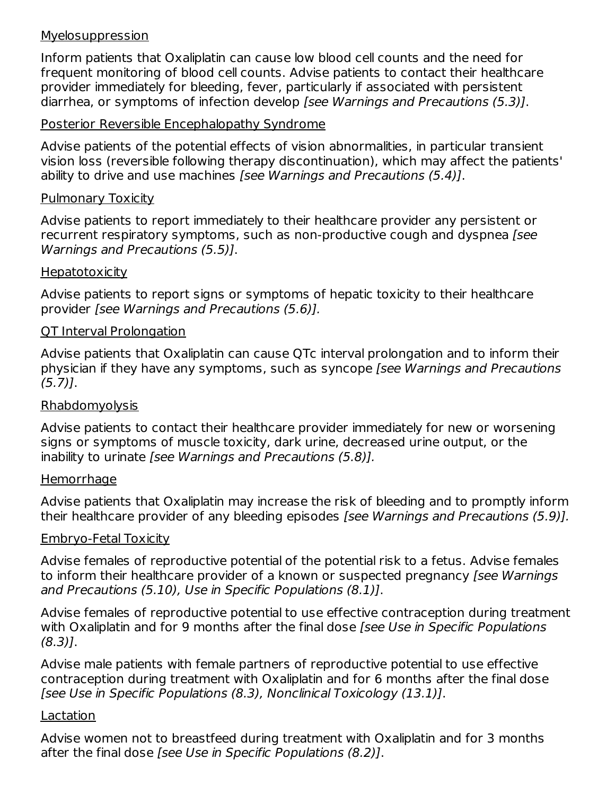#### Myelosuppression

Inform patients that Oxaliplatin can cause low blood cell counts and the need for frequent monitoring of blood cell counts. Advise patients to contact their healthcare provider immediately for bleeding, fever, particularly if associated with persistent diarrhea, or symptoms of infection develop [see Warnings and Precautions (5.3)].

#### Posterior Reversible Encephalopathy Syndrome

Advise patients of the potential effects of vision abnormalities, in particular transient vision loss (reversible following therapy discontinuation), which may affect the patients' ability to drive and use machines [see Warnings and Precautions (5.4)].

#### Pulmonary Toxicity

Advise patients to report immediately to their healthcare provider any persistent or recurrent respiratory symptoms, such as non-productive cough and dyspnea [see] Warnings and Precautions (5.5)].

#### **Hepatotoxicity**

Advise patients to report signs or symptoms of hepatic toxicity to their healthcare provider [see Warnings and Precautions (5.6)].

#### QT Interval Prolongation

Advise patients that Oxaliplatin can cause QTc interval prolongation and to inform their physician if they have any symptoms, such as syncope [see Warnings and Precautions (5.7)].

#### Rhabdomyolysis

Advise patients to contact their healthcare provider immediately for new or worsening signs or symptoms of muscle toxicity, dark urine, decreased urine output, or the inability to urinate [see Warnings and Precautions (5.8)].

#### **Hemorrhage**

Advise patients that Oxaliplatin may increase the risk of bleeding and to promptly inform their healthcare provider of any bleeding episodes [see Warnings and Precautions (5.9)].

#### Embryo-Fetal Toxicity

Advise females of reproductive potential of the potential risk to a fetus. Advise females to inform their healthcare provider of a known or suspected pregnancy (see Warnings and Precautions (5.10), Use in Specific Populations (8.1)].

Advise females of reproductive potential to use effective contraception during treatment with Oxaliplatin and for 9 months after the final dose *[see Use in Specific Populations* (8.3)].

Advise male patients with female partners of reproductive potential to use effective contraception during treatment with Oxaliplatin and for 6 months after the final dose [see Use in Specific Populations (8.3), Nonclinical Toxicology (13.1)].

#### Lactation

Advise women not to breastfeed during treatment with Oxaliplatin and for 3 months after the final dose [see Use in Specific Populations (8.2)].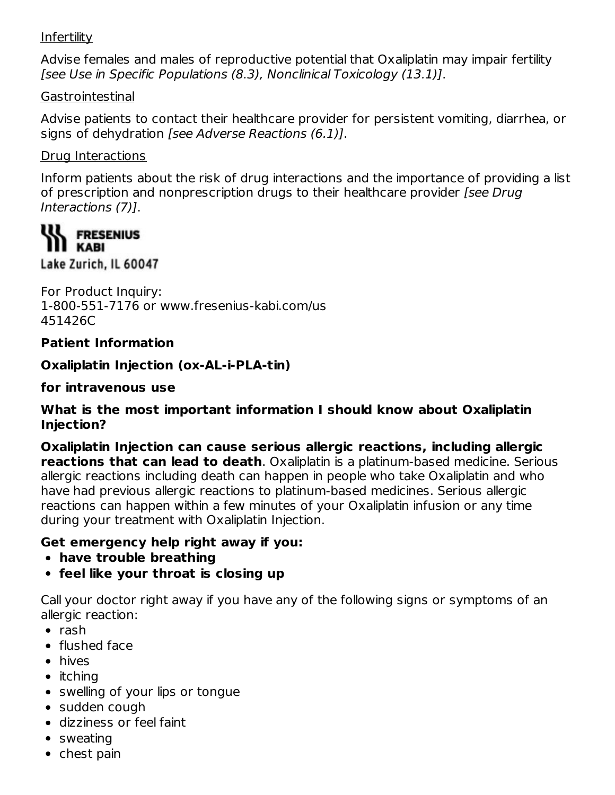#### Infertility

Advise females and males of reproductive potential that Oxaliplatin may impair fertility [see Use in Specific Populations (8.3), Nonclinical Toxicology (13.1)].

#### Gastrointestinal

Advise patients to contact their healthcare provider for persistent vomiting, diarrhea, or signs of dehydration [see Adverse Reactions (6.1)].

#### Drug Interactions

Inform patients about the risk of drug interactions and the importance of providing a list of prescription and nonprescription drugs to their healthcare provider [see Drug] Interactions (7)].

## **WA FRESENIUS III KABI**

Lake Zurich, IL 60047

For Product Inquiry: 1-800-551-7176 or www.fresenius-kabi.com/us 451426C

#### **Patient Information**

**Oxaliplatin Injection (ox-AL-i-PLA-tin)**

**for intravenous use**

#### **What is the most important information I should know about Oxaliplatin Injection?**

**Oxaliplatin Injection can cause serious allergic reactions, including allergic reactions that can lead to death**. Oxaliplatin is a platinum-based medicine. Serious allergic reactions including death can happen in people who take Oxaliplatin and who have had previous allergic reactions to platinum-based medicines. Serious allergic reactions can happen within a few minutes of your Oxaliplatin infusion or any time during your treatment with Oxaliplatin Injection.

#### **Get emergency help right away if you:**

- **have trouble breathing**
- **feel like your throat is closing up**

Call your doctor right away if you have any of the following signs or symptoms of an allergic reaction:

- $\bullet$  rash
- flushed face
- hives
- $\bullet$  itching
- swelling of your lips or tongue
- sudden cough
- dizziness or feel faint
- sweating
- $\bullet$  chest pain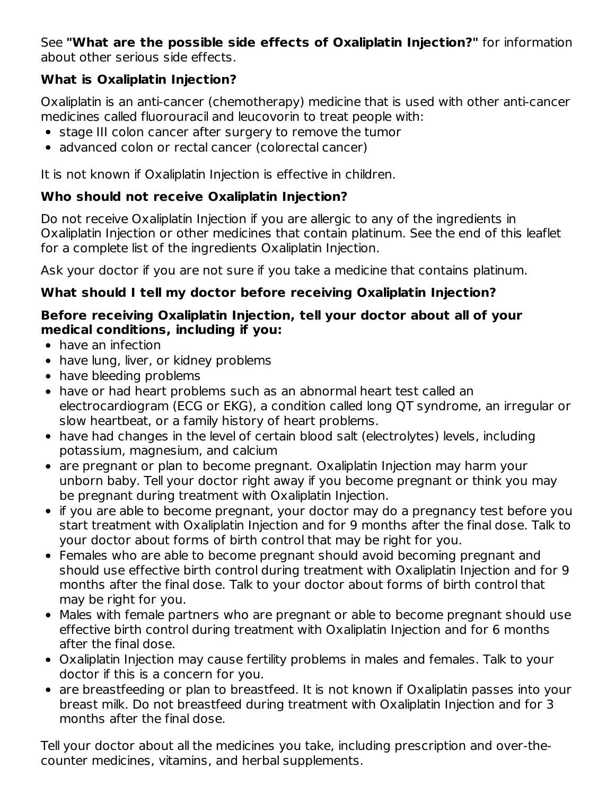#### See **"What are the possible side effects of Oxaliplatin Injection?"** for information about other serious side effects.

## **What is Oxaliplatin Injection?**

Oxaliplatin is an anti-cancer (chemotherapy) medicine that is used with other anti-cancer medicines called fluorouracil and leucovorin to treat people with:

- stage III colon cancer after surgery to remove the tumor
- advanced colon or rectal cancer (colorectal cancer)

It is not known if Oxaliplatin Injection is effective in children.

## **Who should not receive Oxaliplatin Injection?**

Do not receive Oxaliplatin Injection if you are allergic to any of the ingredients in Oxaliplatin Injection or other medicines that contain platinum. See the end of this leaflet for a complete list of the ingredients Oxaliplatin Injection.

Ask your doctor if you are not sure if you take a medicine that contains platinum.

## **What should I tell my doctor before receiving Oxaliplatin Injection?**

#### **Before receiving Oxaliplatin Injection, tell your doctor about all of your medical conditions, including if you:**

- have an infection
- have lung, liver, or kidney problems
- have bleeding problems
- have or had heart problems such as an abnormal heart test called an electrocardiogram (ECG or EKG), a condition called long QT syndrome, an irregular or slow heartbeat, or a family history of heart problems.
- have had changes in the level of certain blood salt (electrolytes) levels, including potassium, magnesium, and calcium
- are pregnant or plan to become pregnant. Oxaliplatin Injection may harm your unborn baby. Tell your doctor right away if you become pregnant or think you may be pregnant during treatment with Oxaliplatin Injection.
- if you are able to become pregnant, your doctor may do a pregnancy test before you start treatment with Oxaliplatin Injection and for 9 months after the final dose. Talk to your doctor about forms of birth control that may be right for you.
- Females who are able to become pregnant should avoid becoming pregnant and should use effective birth control during treatment with Oxaliplatin Injection and for 9 months after the final dose. Talk to your doctor about forms of birth control that may be right for you.
- Males with female partners who are pregnant or able to become pregnant should use effective birth control during treatment with Oxaliplatin Injection and for 6 months after the final dose.
- Oxaliplatin Injection may cause fertility problems in males and females. Talk to your doctor if this is a concern for you.
- are breastfeeding or plan to breastfeed. It is not known if Oxaliplatin passes into your breast milk. Do not breastfeed during treatment with Oxaliplatin Injection and for 3 months after the final dose.

Tell your doctor about all the medicines you take, including prescription and over-thecounter medicines, vitamins, and herbal supplements.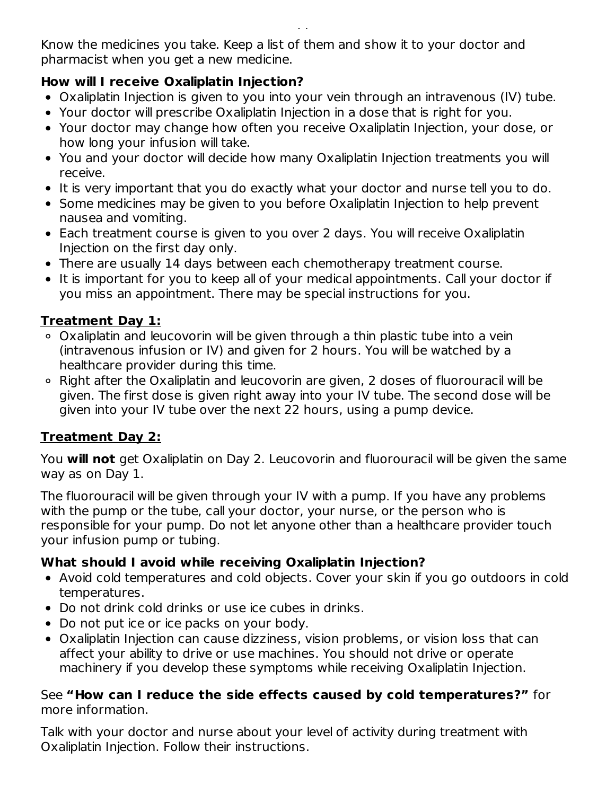Know the medicines you take. Keep a list of them and show it to your doctor and pharmacist when you get a new medicine.

#### **How will I receive Oxaliplatin Injection?**

counter medicines, vitamins, and herbal supplements.

- Oxaliplatin Injection is given to you into your vein through an intravenous (IV) tube.
- Your doctor will prescribe Oxaliplatin Injection in a dose that is right for you.
- Your doctor may change how often you receive Oxaliplatin Injection, your dose, or how long your infusion will take.
- You and your doctor will decide how many Oxaliplatin Injection treatments you will receive.
- It is very important that you do exactly what your doctor and nurse tell you to do.
- Some medicines may be given to you before Oxaliplatin Injection to help prevent nausea and vomiting.
- Each treatment course is given to you over 2 days. You will receive Oxaliplatin Injection on the first day only.
- There are usually 14 days between each chemotherapy treatment course.
- It is important for you to keep all of your medical appointments. Call your doctor if you miss an appointment. There may be special instructions for you.

## **Treatment Day 1:**

- Oxaliplatin and leucovorin will be given through a thin plastic tube into a vein (intravenous infusion or IV) and given for 2 hours. You will be watched by a healthcare provider during this time.
- ∘ Right after the Oxaliplatin and leucovorin are given, 2 doses of fluorouracil will be given. The first dose is given right away into your IV tube. The second dose will be given into your IV tube over the next 22 hours, using a pump device.

### **Treatment Day 2:**

You **will not** get Oxaliplatin on Day 2. Leucovorin and fluorouracil will be given the same way as on Day 1.

The fluorouracil will be given through your IV with a pump. If you have any problems with the pump or the tube, call your doctor, your nurse, or the person who is responsible for your pump. Do not let anyone other than a healthcare provider touch your infusion pump or tubing.

### **What should I avoid while receiving Oxaliplatin Injection?**

- Avoid cold temperatures and cold objects. Cover your skin if you go outdoors in cold temperatures.
- Do not drink cold drinks or use ice cubes in drinks.
- Do not put ice or ice packs on your body.
- Oxaliplatin Injection can cause dizziness, vision problems, or vision loss that can affect your ability to drive or use machines. You should not drive or operate machinery if you develop these symptoms while receiving Oxaliplatin Injection.

#### See **"How can I reduce the side effects caused by cold temperatures?"** for more information.

Talk with your doctor and nurse about your level of activity during treatment with Oxaliplatin Injection. Follow their instructions.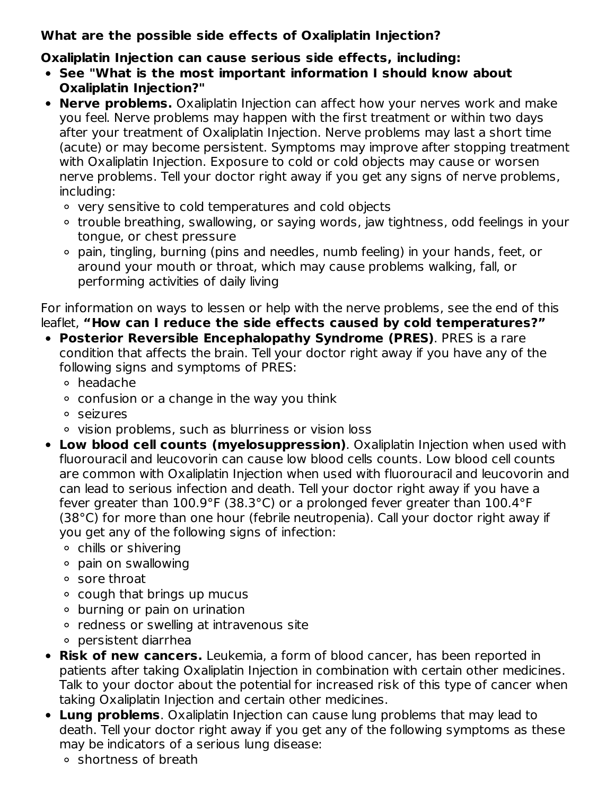## **What are the possible side effects of Oxaliplatin Injection?**

## **Oxaliplatin Injection can cause serious side effects, including:**

- **See "What is the most important information I should know about Oxaliplatin Injection?"**
- **Nerve problems.** Oxaliplatin Injection can affect how your nerves work and make you feel. Nerve problems may happen with the first treatment or within two days after your treatment of Oxaliplatin Injection. Nerve problems may last a short time (acute) or may become persistent. Symptoms may improve after stopping treatment with Oxaliplatin Injection. Exposure to cold or cold objects may cause or worsen nerve problems. Tell your doctor right away if you get any signs of nerve problems, including:
	- very sensitive to cold temperatures and cold objects
	- trouble breathing, swallowing, or saying words, jaw tightness, odd feelings in your tongue, or chest pressure
	- pain, tingling, burning (pins and needles, numb feeling) in your hands, feet, or around your mouth or throat, which may cause problems walking, fall, or performing activities of daily living

For information on ways to lessen or help with the nerve problems, see the end of this leaflet, **"How can I reduce the side effects caused by cold temperatures?"**

- **Posterior Reversible Encephalopathy Syndrome (PRES)**. PRES is a rare condition that affects the brain. Tell your doctor right away if you have any of the following signs and symptoms of PRES:
	- headache
	- $\circ$  confusion or a change in the way you think
	- seizures
	- vision problems, such as blurriness or vision loss
- **Low blood cell counts (myelosuppression)**. Oxaliplatin Injection when used with fluorouracil and leucovorin can cause low blood cells counts. Low blood cell counts are common with Oxaliplatin Injection when used with fluorouracil and leucovorin and can lead to serious infection and death. Tell your doctor right away if you have a fever greater than 100.9°F (38.3°C) or a prolonged fever greater than 100.4°F (38°C) for more than one hour (febrile neutropenia). Call your doctor right away if you get any of the following signs of infection:
	- chills or shivering
	- pain on swallowing
	- sore throat
	- $\circ$  cough that brings up mucus
	- burning or pain on urination
	- redness or swelling at intravenous site
	- persistent diarrhea
- **Risk of new cancers.** Leukemia, a form of blood cancer, has been reported in patients after taking Oxaliplatin Injection in combination with certain other medicines. Talk to your doctor about the potential for increased risk of this type of cancer when taking Oxaliplatin Injection and certain other medicines.
- **Lung problems**. Oxaliplatin Injection can cause lung problems that may lead to death. Tell your doctor right away if you get any of the following symptoms as these may be indicators of a serious lung disease:
	- shortness of breath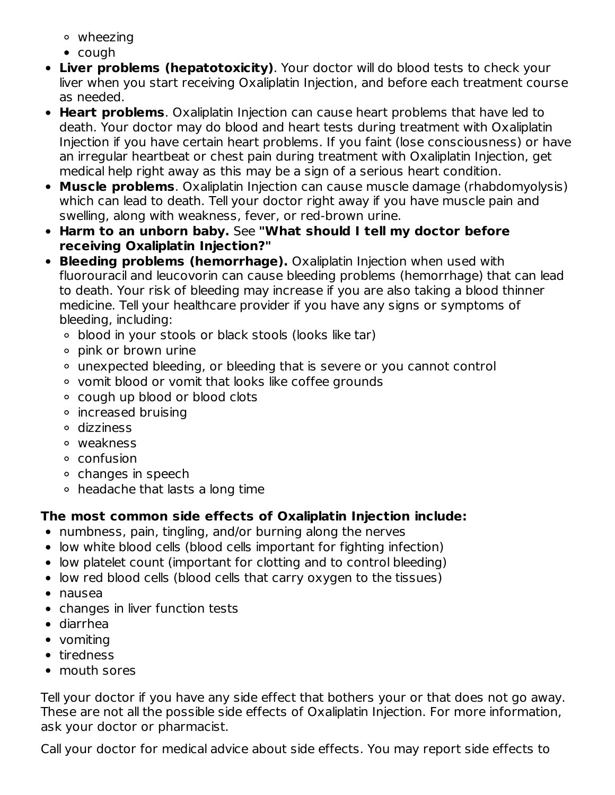wheezing

- cough
- **Liver problems (hepatotoxicity)**. Your doctor will do blood tests to check your liver when you start receiving Oxaliplatin Injection, and before each treatment course as needed.
- **Heart problems**. Oxaliplatin Injection can cause heart problems that have led to death. Your doctor may do blood and heart tests during treatment with Oxaliplatin Injection if you have certain heart problems. If you faint (lose consciousness) or have an irregular heartbeat or chest pain during treatment with Oxaliplatin Injection, get medical help right away as this may be a sign of a serious heart condition.
- **Muscle problems**. Oxaliplatin Injection can cause muscle damage (rhabdomyolysis) which can lead to death. Tell your doctor right away if you have muscle pain and swelling, along with weakness, fever, or red-brown urine.
- **Harm to an unborn baby.** See **"What should I tell my doctor before receiving Oxaliplatin Injection?"**
- **Bleeding problems (hemorrhage).** Oxaliplatin Injection when used with fluorouracil and leucovorin can cause bleeding problems (hemorrhage) that can lead to death. Your risk of bleeding may increase if you are also taking a blood thinner medicine. Tell your healthcare provider if you have any signs or symptoms of bleeding, including:
	- blood in your stools or black stools (looks like tar)
	- pink or brown urine
	- unexpected bleeding, or bleeding that is severe or you cannot control
	- vomit blood or vomit that looks like coffee grounds
	- cough up blood or blood clots
	- increased bruising
	- dizziness
	- weakness
	- confusion
	- o changes in speech
	- headache that lasts a long time

## **The most common side effects of Oxaliplatin Injection include:**

- numbness, pain, tingling, and/or burning along the nerves
- low white blood cells (blood cells important for fighting infection)
- low platelet count (important for clotting and to control bleeding)
- low red blood cells (blood cells that carry oxygen to the tissues)
- nausea
- changes in liver function tests
- diarrhea
- vomiting
- tiredness
- mouth sores

Tell your doctor if you have any side effect that bothers your or that does not go away. These are not all the possible side effects of Oxaliplatin Injection. For more information, ask your doctor or pharmacist.

Call your doctor for medical advice about side effects. You may report side effects to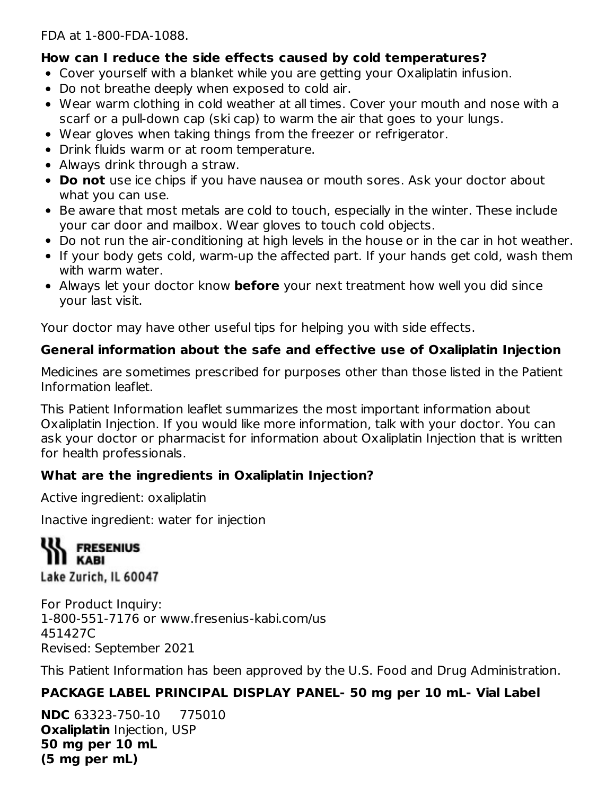FDA at 1-800-FDA-1088.

#### **How can I reduce the side effects caused by cold temperatures?**

- Cover yourself with a blanket while you are getting your Oxaliplatin infusion.
- Do not breathe deeply when exposed to cold air.
- Wear warm clothing in cold weather at all times. Cover your mouth and nose with a scarf or a pull-down cap (ski cap) to warm the air that goes to your lungs.
- Wear gloves when taking things from the freezer or refrigerator.
- Drink fluids warm or at room temperature.
- Always drink through a straw.
- **Do not** use ice chips if you have nausea or mouth sores. Ask your doctor about what you can use.
- Be aware that most metals are cold to touch, especially in the winter. These include your car door and mailbox. Wear gloves to touch cold objects.
- Do not run the air-conditioning at high levels in the house or in the car in hot weather.
- If your body gets cold, warm-up the affected part. If your hands get cold, wash them with warm water.
- Always let your doctor know **before** your next treatment how well you did since your last visit.

Your doctor may have other useful tips for helping you with side effects.

## **General information about the safe and effective use of Oxaliplatin Injection**

Medicines are sometimes prescribed for purposes other than those listed in the Patient Information leaflet.

This Patient Information leaflet summarizes the most important information about Oxaliplatin Injection. If you would like more information, talk with your doctor. You can ask your doctor or pharmacist for information about Oxaliplatin Injection that is written for health professionals.

### **What are the ingredients in Oxaliplatin Injection?**

Active ingredient: oxaliplatin

Inactive ingredient: water for injection

**III** FRESENIUS **KABI** Lake Zurich, IL 60047

For Product Inquiry: 1-800-551-7176 or www.fresenius-kabi.com/us 451427C Revised: September 2021

This Patient Information has been approved by the U.S. Food and Drug Administration.

## **PACKAGE LABEL PRINCIPAL DISPLAY PANEL- 50 mg per 10 mL- Vial Label**

**NDC** 63323-750-10 775010 **Oxaliplatin** Injection, USP **50 mg per 10 mL (5 mg per mL)**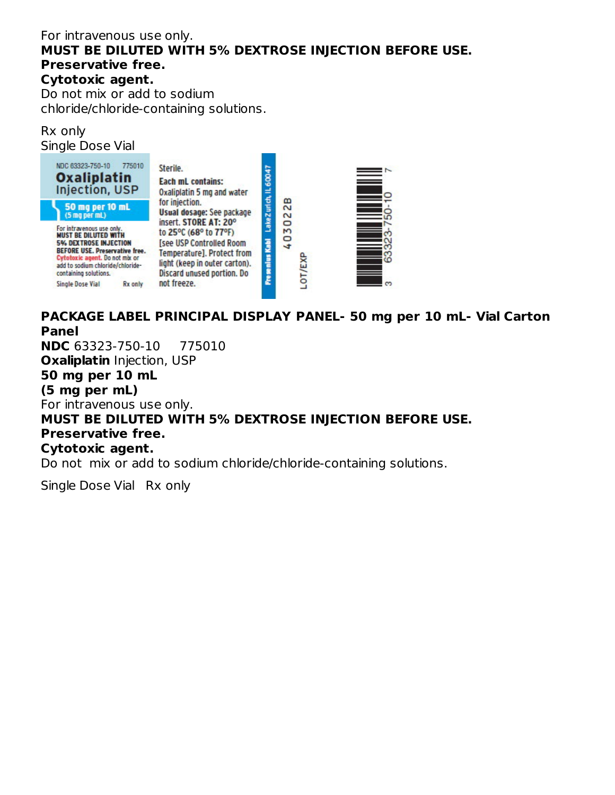#### For intravenous use only. **MUST BE DILUTED WITH 5% DEXTROSE INJECTION BEFORE USE. Preservative free. Cytotoxic agent.** Do not mix or add to sodium

chloride/chloride-containing solutions.

#### Rx only Single Dose Vial



## **PACKAGE LABEL PRINCIPAL DISPLAY PANEL- 50 mg per 10 mL- Vial Carton Panel**

**NDC** 63323-750-10 775010

**Oxaliplatin** Injection, USP

## **50 mg per 10 mL**

**(5 mg per mL)**

For intravenous use only.

### **MUST BE DILUTED WITH 5% DEXTROSE INJECTION BEFORE USE. Preservative free.**

#### **Cytotoxic agent.**

Do not mix or add to sodium chloride/chloride-containing solutions.

Single Dose Vial Rx only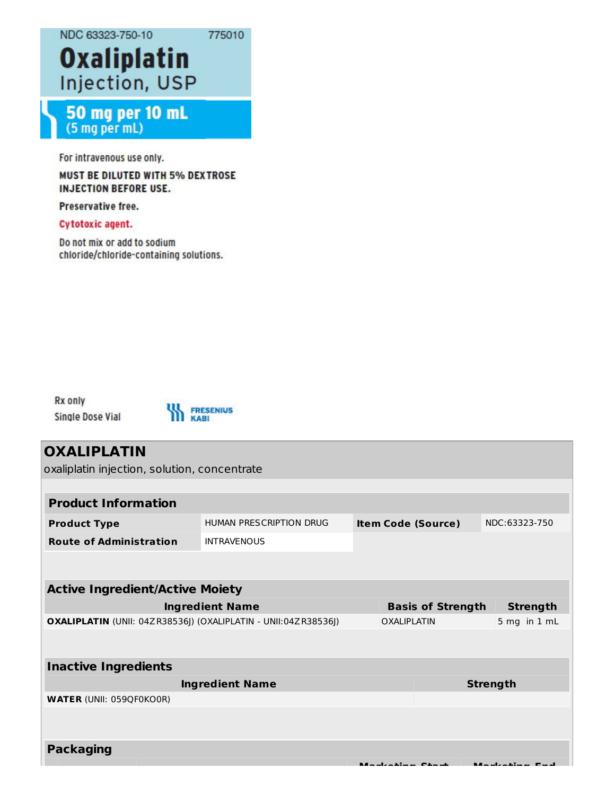NDC 63323-750-10

775010

# **Oxaliplatin** Injection, USP

## 50 mg per 10 mL (5 mg per mL)

For intravenous use only.

#### **MUST BE DILUTED WITH 5% DEXTROSE INJECTION BEFORE USE.**

Preservative free.

#### **Cytotoxic agent.**

Do not mix or add to sodium chloride/chloride-containing solutions.

**Rx only** Single Dose Vial



# **OXALIPLATIN** oxaliplatin injection, solution, concentrate **Product Information Product Type** HUMAN PRESCRIPTION DRUG **Item Code (Source)** NDC:63323-750 **Route of Administration** INTRAVENOUS **Active Ingredient/Active Moiety Ingredient Name Basis of Strength Strength OXALIPLATIN** (UNII: 04ZR38536J) (OXALIPLATIN - UNII:04ZR38536J) OXALIPLATIN 5 mg in 1 mL **Inactive Ingredients Ingredient Name Strength WATER** (UNII: 059QF0KO0R) **Packaging**

**Marketing Start Marketing End**